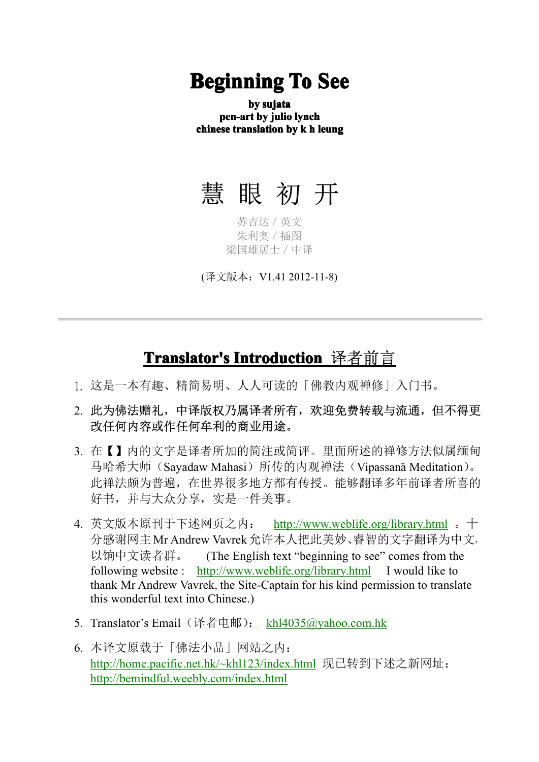# **Beginning Beginning Beginning To See**

**by sujata pen-art** by **julio lynch chinese chinese chinesetranslation translation translationtranslationby k h leung**



苏吉达/英文 朱利奥/插图 梁国雄居士/中译

(译文版本:V1.41 2012-11-8)

# **Translator's Translator's Translator's Introduction Introduction**译者前言

- 1. 这是一本有趣、精简易明、人人可读的「佛教内观禅修」入门书。
- 2. 此为佛法赠礼,中译版权乃属译者所有,欢迎免费转载与流通,但不得更 改任何内容或作任何牟利的商业用途。
- 3. 在【】内的文字是译者所加的简注或简评。里面所述的禅修方法似属缅甸 马哈希大师(Sayadaw Mahasi)所传的内观禅法(Vipassanā Meditation)。 此禅法颇为普遍,在世界很多地方都有传授。能够翻译多年前译者所喜的 好书,并与大众分享,实是一件美事。
- 4. 英文版本原刊于下述网页之内: <http://www.weblife.org/library.html> 。十 分感谢网主Mr Andrew Vavrek允许本人把此美妙、睿智的文字翻译为中文, 以饷中文读者群。 (The English text "beginning to see" comes from the following website : <http://www.weblife.org/library.html> I would like to thank Mr Andrew Vavrek, the Site-Captain for his kind permission to translate this wonderful text into Chinese.)
- 5. Translator's Email (译者电邮): [khl4035@yahoo.com.hk](mailto:khl4035@yahoo.com.hk)
- 6. 本译文原载于「佛法小品」网站之内: <http://home.pacific.net.hk/~khl123/index.html> 现已转到下述之新网址: <http://bemindful.weebly.com/index.html>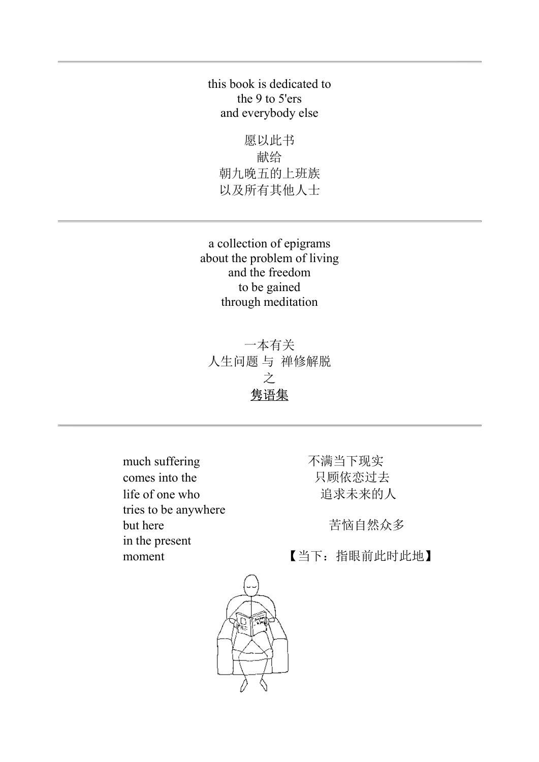this book is dedicated to the 9 to 5'ers and everybody else

愿以此书 献给 朝九晚五的上班族 以及所有其他人士

<sup>a</sup> collection of epigrams about the problem of living and the freedom to be gained through meditation

一本有关 人生问题 与 禅修解脱 之 隽语集

much suffering 不满当下现实 comes into the 只顾依恋过去 life of one who 追求未来的人 tries to be anywhere but here **here** 吉恼自然众多 in the presen<sup>t</sup>

moment 【当下: 指眼前此时此地】

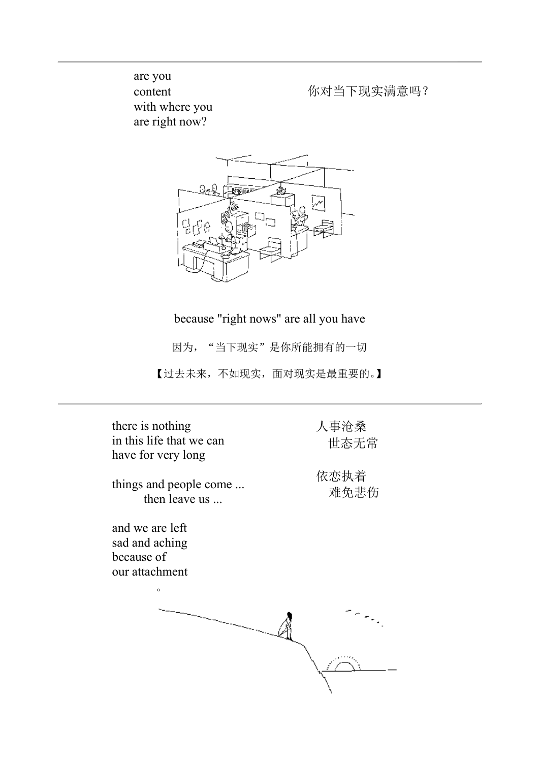content 你对当下现实满意吗?

are you with where you are right now?



### because "right nows" are all you have

因为,"当下现实"是你所能拥有的一切

【过去未来,不如现实,面对现实是最重要的。】

there is nothing in this life that we can have for very long things and people come ... then leave us ... and we are left sad and aching because of our attachment 人事沧桑 世态无常 依恋执着 难免悲伤  $\circ$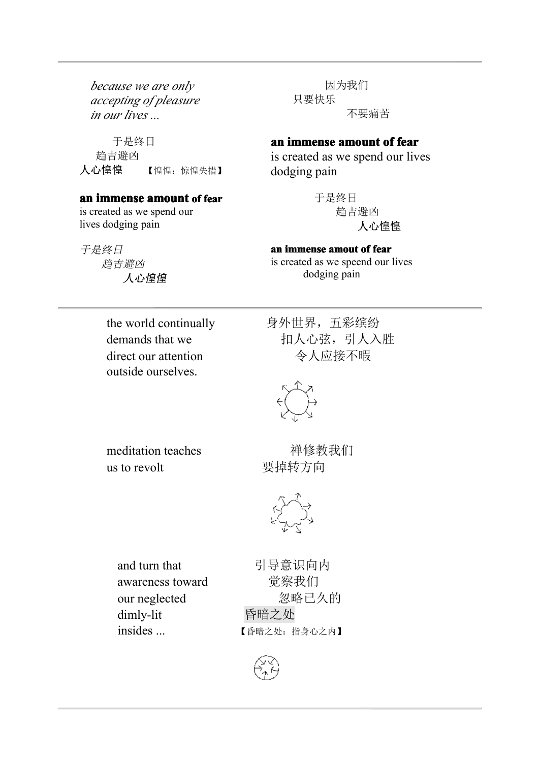*because we are only accepting of pleasure because we are only* 因为我们<br>*accepting of pleasure* 只要快乐<br>*in our lives ...* 不要

> 于是终日 趋吉避凶 人心惶惶 【惶惶:惊惶失措】

### **an immense immenseamount of fear**

is created as we spend our lives dodging pain

于是终日 趋吉避凶 人心惶惶 只要快乐 不要痛苦

### **an immense amount of fear**

is created as we spend our lives dodging pain

> 于是终日 趋吉避凶 人心惶惶

**an immense immense amout of fear** is created as we speend our lives dodging pain

the world continually 身外世界,五彩缤纷 direct our attention 令人应接不暇 outside ourselves.

demands that we **扣人心弦,**引人入胜



meditation teaches <br>
禅修教我们 us to revolt 要掉转方向



and turn that 引导意识向内 awareness toward 觉察我们 dimly-lit 昏暗之处

our neglected 忽略已久的 insides ... 【昏暗之处:指身心之内】

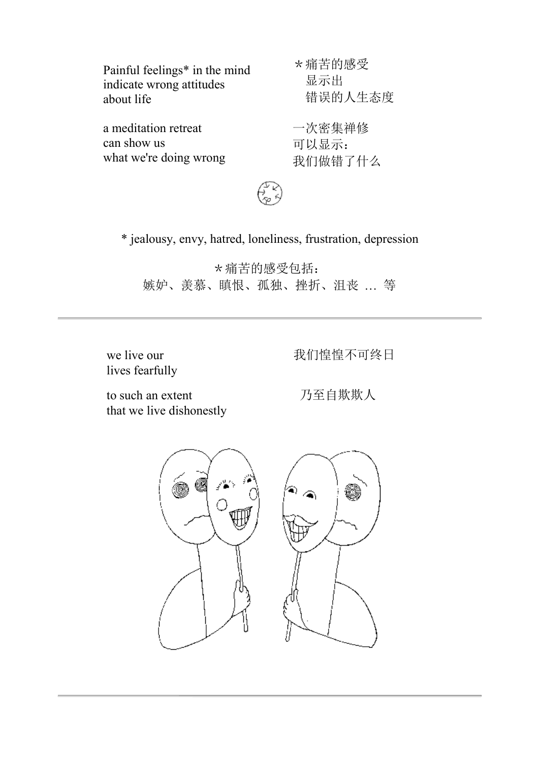Painful feelings\* in the mind indicate wrong attitudes about life

<sup>a</sup> meditation retreat can show us what we're doing wrong \*痛苦的感受 显示出 错误的人生态度

一次密集禅修 可以显示: 我们做错了什么



\* jealousy, envy, hatred, loneliness, frustration, depression

\*痛苦的感受包括: 嫉妒、羡慕、瞋恨、孤独、挫折、沮丧 … 等

lives fearfully

we live our how part of the set of the set of the set of the set of the set of the set of the set of the set o

to such an extent 乃至自欺欺人 that we live dishonestly

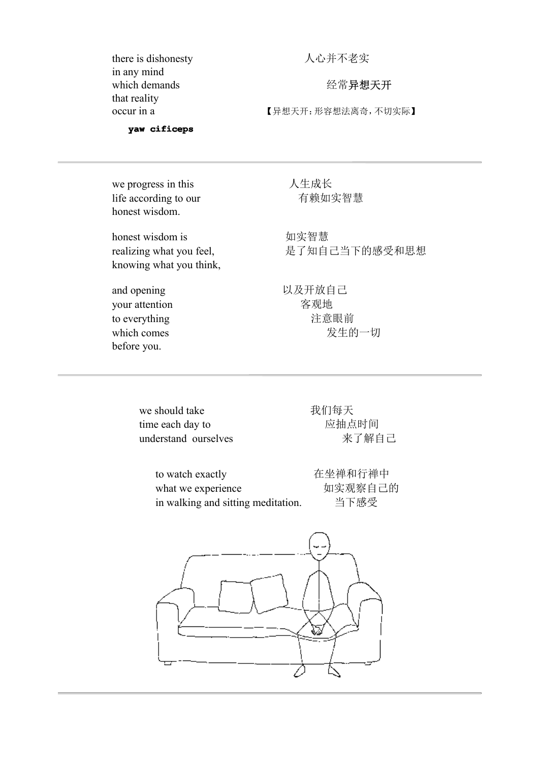there is dishonesty http://www.php?there.is/dishonesty http://www.php?there in any mind which demands 经常异想天开 that reality

occur in a **compassion and a contract of the CERT** superinters are respected to the Mathematic Security and Ter

#### **yaw cificeps cificepscificepscificeps**

we progress inthis 人生成长 life according to our 有赖如实智慧 honest wisdom.

honest wisdom is **honest** wisdom is knowing what you think,

your attention 客观地 before you.

realizing what you feel, 是了知自己当下的感受和思想

and opening 以及开放自己 to everything 注意眼前 which comes **which comes which comes** 

we should take 我们每天 time each day to <br> **comparison of the comparison of the comparison of the comparison of the comparison of the comparison of the comparison of the comparison of the comparison of the comparison of the comparison of the com** understand ourselves <br>
来了解自己

to watch exactly 在坐禅和行禅中 what we experience **hand many manufacture** 如实观察自己的 in walking and sitting meditation. 当下感受

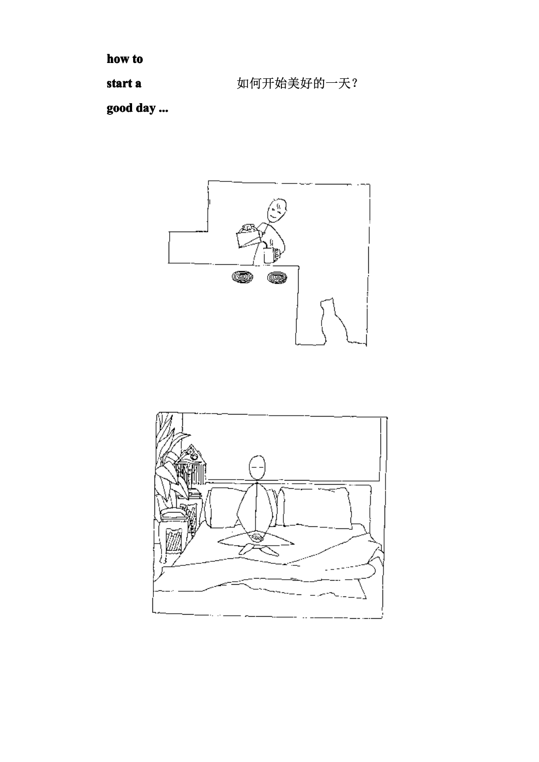**how to**

start a **budge budget budget by start** a

**good day ...**



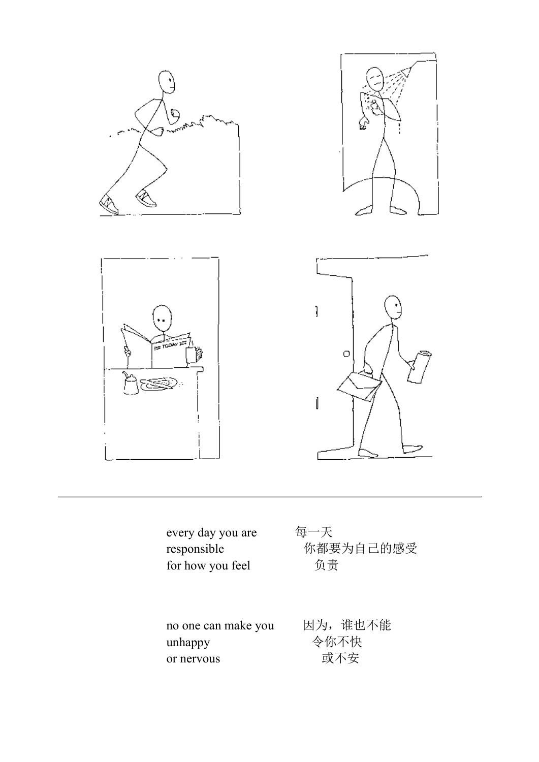

every day you are 每一天 for how you feel

responsible <br>
for how you feel <br>  $\frac{1}{2}$  <br>  $\frac{1}{2}$  <br>  $\frac{1}{2}$  <br>  $\frac{1}{2}$  <br>  $\frac{1}{2}$  <br>  $\frac{1}{2}$  <br>  $\frac{1}{2}$   $\frac{1}{2}$  <br>  $\frac{1}{2}$   $\frac{1}{2}$  <br>  $\frac{1}{2}$   $\frac{1}{2}$  <br>  $\frac{1}{2}$   $\frac{1}{2}$  <br>  $\frac{1}{2}$   $\frac{1}{2}$  <br>  $\frac{1}{$ 

no one can make you 因为,谁也不能 unhappy 令你不快<br>or nervous 或不安 or nervous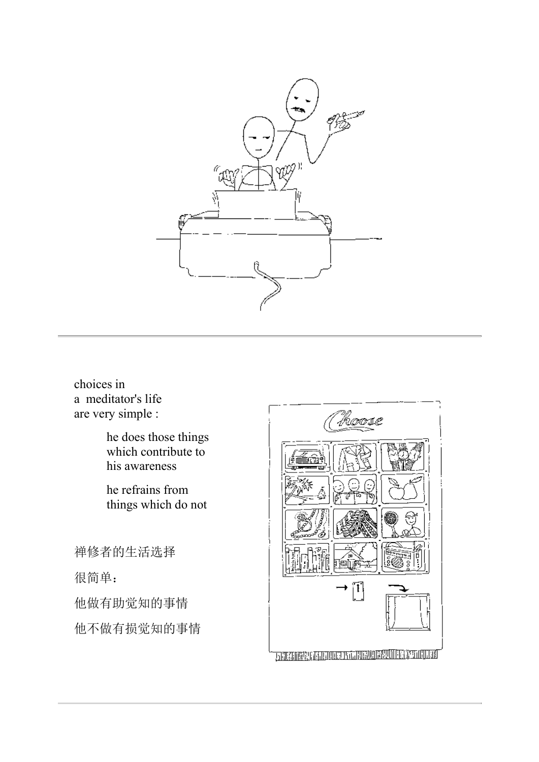

choices in <sup>a</sup> meditator's life are very simple :

> he does those things which contribute to his awareness

he refrains from things which do not

禅修者的生活选择

很简单:

他做有助觉知的事情

他不做有损觉知的事情

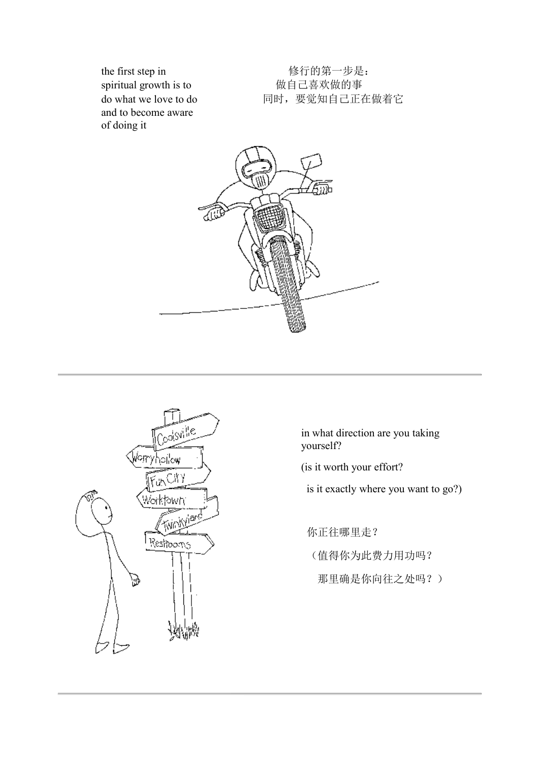and to become aware of doing it

the first step in <a>  $\qquad \qquad \qquad$ <br/> $\qquad \qquad \qquad \mbox{``$6$''$} \mbox{``$9$''$} \mbox{``} \mbox{``} \mbox{``} \mbox{``} \mbox{``} \mbox{``} \mbox{``} \mbox{``} \mbox{``} \mbox{``} \mbox{``} \mbox{``} \mbox{``} \mbox{``} \mbox{``} \mbox{``} \mbox{``} \mbox{``} \mbox{``} \mbox{``} \mbox{``} \mbox{``} \mbox{``} \mbox{``} \mbox{``} \$ spiritual growth is to **the original of the original of the set of the set of the set of the set of the set of the set of the set of the set of the set of the set of the set of the set of the set of the set of the set of** do what we love to do 同时,要觉知自己正在做着它





in what direction are you taking yourself?

(is it worth your effort?

is it exactly where you want to go?)

你正往哪里走?

(值得你为此费力用功吗?

那里确是你向往之处吗?)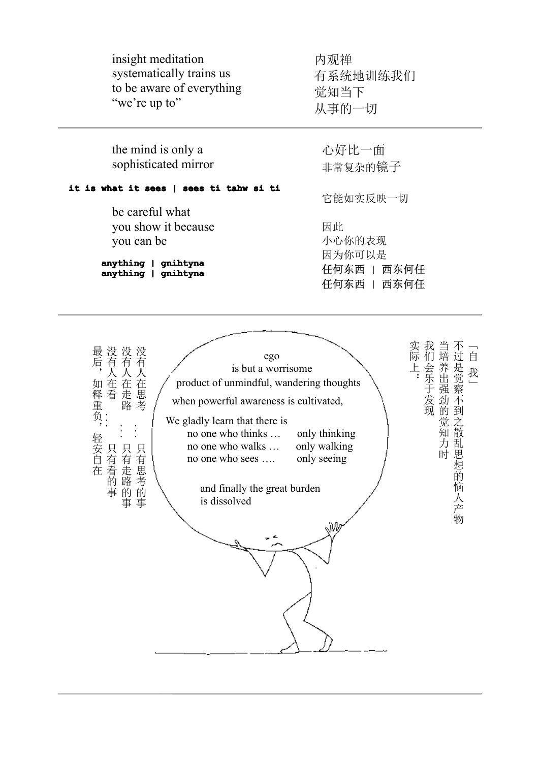insight meditation systematically trains us to be aware of everything "we're up to" 内观禅

> the mind is only <sup>a</sup> sophisticated mirror

#### **it is what it sees | sees ti tahw si ti**

be careful what you show it because you can be

**anything anythinganything| gnihtyna gnihtyna anything anything| gnihtyna** 有系统地训练我们 觉知当下 从事的一切

心好比一面 非常复杂的镜子

它能如实反映一切

因此 小心你的表现 因为你可以是 任何东西 | 西东何任 任何东西 | 西东何任

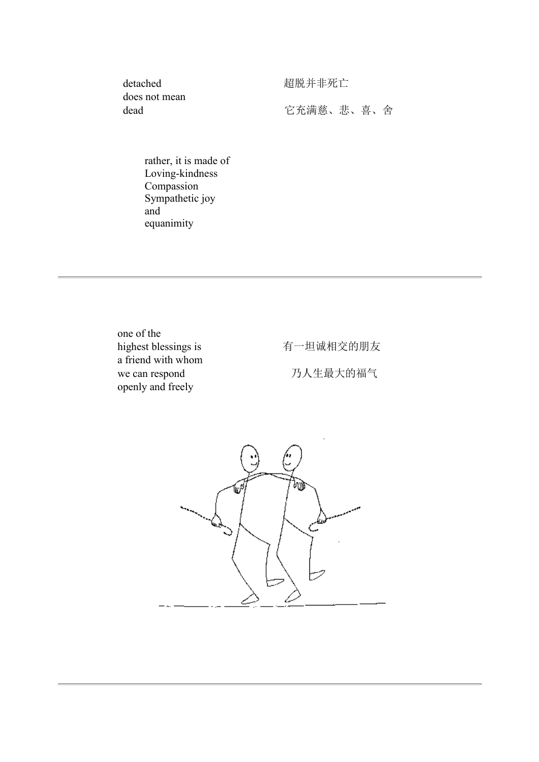does not mean

detached **a** 超脱并非死亡

dead **compact of the compact of the compact of the compact of the compact of the compact of the compact of the c** 

rather, it is made of Loving-kindness Compassion Sympathetic joy and equanimity

one of the highest blessings is 有一坦诚相交的朋友 <sup>a</sup> friend with whom openly and freely

we can respond 乃人生最大的福气

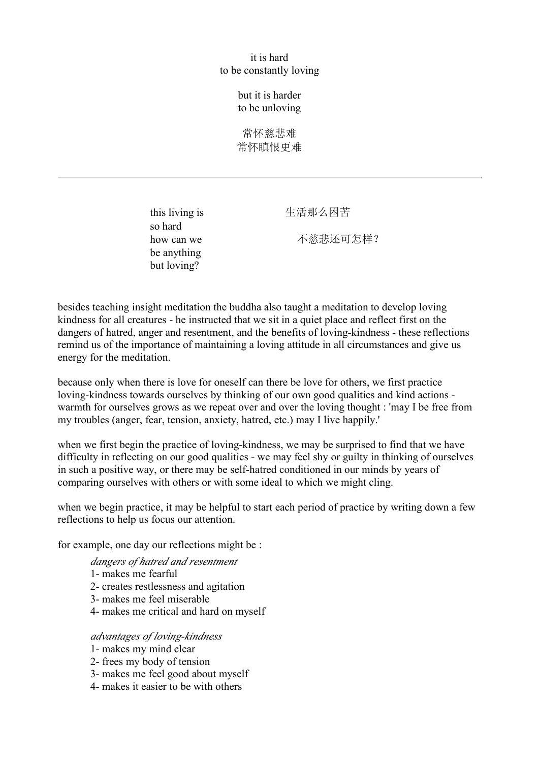#### it is hard to be constantly loving

#### but it is harder to be unloving

常怀慈悲难 常怀瞋恨更难

this living is 生活那么困苦 so hard be anything but loving?

how can we how can we

besides teaching insight meditation the buddha also taught <sup>a</sup> meditation to develop loving kindness for all creatures - he instructed that we sit in <sup>a</sup> quiet place and reflect first on the dangers of hatred, anger and resentment, and the benefits of loving-kindness - these reflections remind us of the importance of maintaining <sup>a</sup> loving attitude in all circumstances and give us energy for the meditation.

because only when there is love for oneself can there be love for others, we first practice loving-kindness towards ourselves by thinking of our own good qualities and kind actions warmth for ourselves grows as we repea<sup>t</sup> over and over the loving thought : 'may I be free from my troubles (anger, fear, tension, anxiety, hatred, etc.) may I live happily.'

when we first begin the practice of loving-kindness, we may be surprised to find that we have difficulty in reflecting on our good qualities - we may feel shy or guilty in thinking of ourselves in such <sup>a</sup> positive way, or there may be self-hatred conditioned in our minds by years of comparing ourselves with others or with some ideal to which we might cling.

when we begin practice, it may be helpful to start each period of practice by writing down a few reflections to help us focus our attention.

for example, one day our reflections might be :

*dangers of hatred and resentment*

- 1- makes me fearful
- 2- creates restlessness and agitation
- 3- makes me feel miserable
- 4- makes me critical and hard on myself

#### *advantages of loving-kindness*

- 1- makes my mind clear
- 2- frees my body of tension
- 3- makes me feel good about myself
- 4- makes it easier to be with others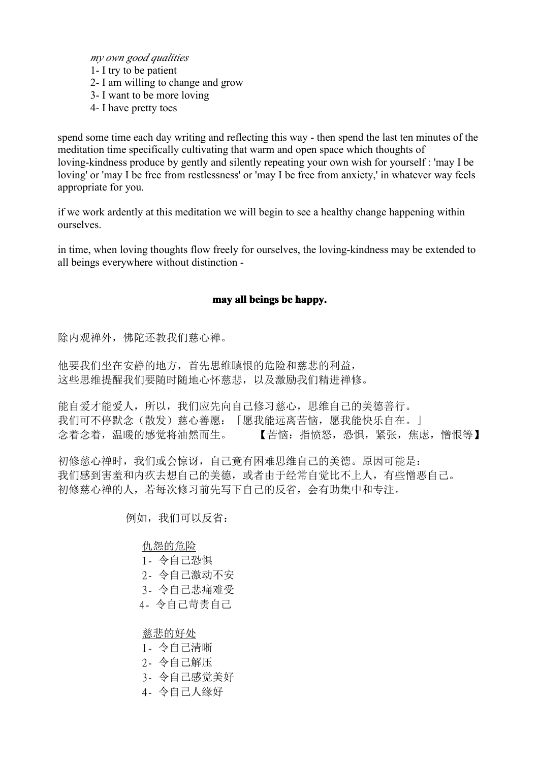*my own good qualities* 1- I try to be patient 2- I am willing to change and grow 3- I want to be more loving 4- I have pretty toes

spend some time each day writing and reflecting this way - then spend the last ten minutes of the meditation time specifically cultivating that warm and open space which thoughts of loving-kindness produce by gently and silently repeating your own wish for yourself : 'may I be loving' or 'may I be free from restlessness' or 'may I be free from anxiety,' in whatever way feels appropriate for you.

if we work ardently at this meditation we will begin to see <sup>a</sup> healthy change happening within ourselves.

in time, when loving thoughts flow freely for ourselves, the loving-kindness may be extended to all beings everywhere without distinction -

#### **may all beings be happy.**

除内观禅外,佛陀还教我们慈心禅。

他要我们坐在安静的地方,首先思维瞋恨的危险和慈悲的利益, 这些思维提醒我们要随时随地心怀慈悲,以及激励我们精进禅修。

能自爱才能爱人,所以,我们应先向自己修习慈心,思维自己的美德善行。 我们可不停默念(散发)慈心善愿:「愿我能远离苦恼,愿我能快乐自在。」 念着念着,温暖的感觉将油然而生。 【苦恼:指愤怒,恐惧,紧张,焦虑,憎恨等】

初修慈心禅时,我们或会惊讶,自己竟有困难思维自己的美德。原因可能是: 我们感到害羞和内疚去想自己的美德,或者由于经常自觉比不上人,有些憎恶自己。 初修慈心禅的人,若每次修习前先写下自己的反省,会有助集中和专注。

例如,我们可以反省:

#### 仇怨的危险

- 1- 令自己恐惧
- 2- 令自己激动不安
- 3- 令自己悲痛难受
- 4- 令自己苛责自己

#### 慈悲的好处

- 1- 令自己清晰
- 2- 令自己解压
- 3- 令自己感觉美好
- 4- 令自己人缘好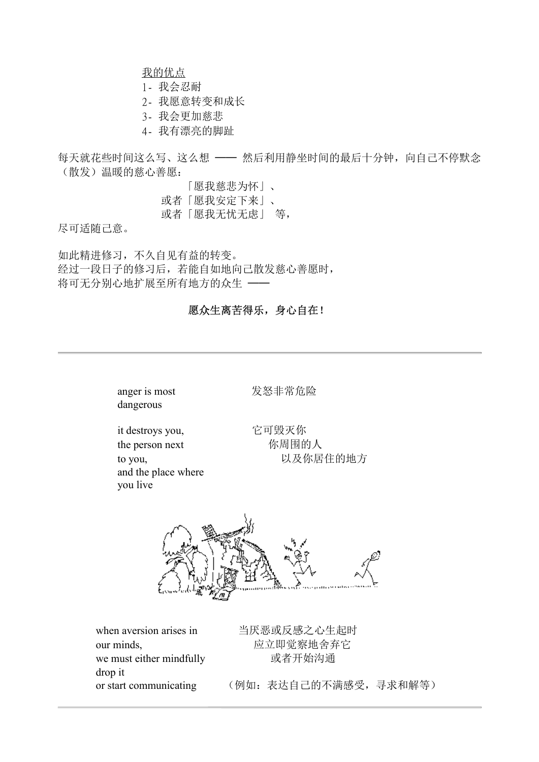我的优点

- 1- 我会忍耐
- 2- 我愿意转变和成长
- 3- 我会更加慈悲
- 4- 我有漂亮的脚趾

每天就花些时间这么写、这么想 —— 然后利用静坐时间的最后十分钟,向自己不停默念 (散发)温暖的慈心善愿:

「愿我慈悲为怀」、

或者「愿我安定下来」、

或者「愿我无忧无虑」 等,

尽可适随己意。

如此精进修习,不久自见有益的转变。 经过一段日子的修习后,若能自如地向己散发慈心善愿时, 将可无分别心地扩展至所有地方的众生 ——

#### 愿众生离苦得乐,身心自在!

dangerous

anger is most 发怒非常危险

it destroys you, 它可毁灭你 the person next 你周围的人 and the place where you live

to you, 以及你居住的地方



when aversion arises in 当厌恶或反感之心生起时 we must either mindfully 或者开始沟通 drop it

our minds. <br>
our minds.

or start communicating (例如:表达自己的不满感受,寻求和解等)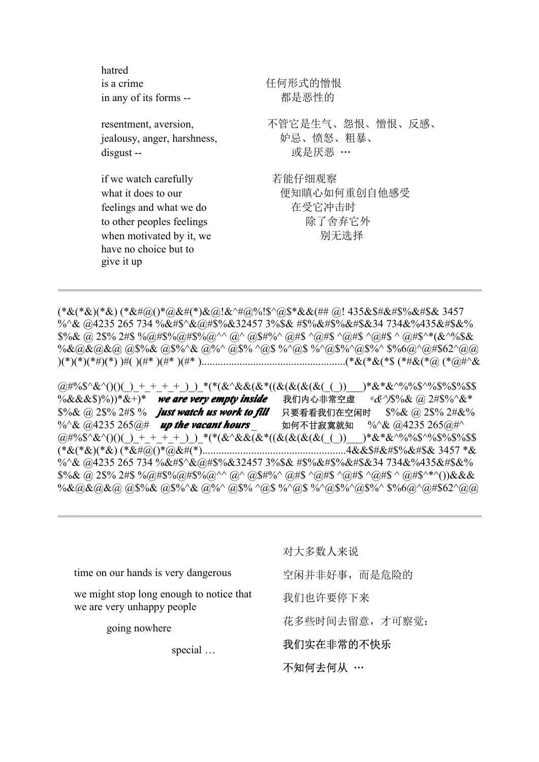| hatred<br>is a crime<br>in any of its forms --                                                                                                                          | 任何形式的憎恨<br>都是恶性的                                   |
|-------------------------------------------------------------------------------------------------------------------------------------------------------------------------|----------------------------------------------------|
| resentment, aversion,<br>jealousy, anger, harshness,<br>$disgust -$                                                                                                     | 不管它是生气、怨恨、憎恨、反感、<br>妒忌、愤怒、粗暴、<br>或是厌恶 …            |
| if we watch carefully<br>what it does to our<br>feelings and what we do<br>to other peoples feelings<br>when motivated by it, we<br>have no choice but to<br>give it up | 若能仔细观察<br>便知瞋心如何重创自他感受<br>在受它冲击时<br>除了舍弃它外<br>别无选择 |

 $(*\&(*\&)(*\&)(*\&\#(a))\&\#(*)\&(a)\&\#(a)\&\#(a)\&\#(a)\&\#(a)\&\#(a)\&\#(a)\&\#(a)\&\#(a)\&\#(a)\&\#(a)\&\#(a)\&\#(a)\&\#(a)\&\#(a)\&\#(a)\&\#(a)\&\#(a)\&\#(a)\&\#(a)\&\#(a)\&\#(a)\&\#(a)\&\#(a)\&\#(a)\&\#(a)\&\#(a)\&\#(a)\&\#(a)\&\#(a)\&\#(a)\&\#(a)\&\#(a)\$ %^& @4235 265 734 %&#\$^&@#\$%&32457 3%\$& #\$%&#\$%&#\$&34 734&%435&#\$&%  $$\%&$  @ 2\$% 2#\$ %@#\$%@#\$%@^^ @^ @\$#%^ @#\$ ^@#\$ ^@#\$ ^@#\$ ^ @#\$^\*(&^%\$& %&@&@&@ @\$%& @\$%^& @%^ @\$% ^@\$ %^@\$ %^@\$%^@\$%^ \$%6@^@#\$62^@@ )(\*)(\*)(\*#)(\*) )#( )(#\* )(#\* )(#\* ).....................................................(\*&(\*&(\*\$ (\*#&(\*@ (\*@#^&

 $(\partial_0^{\#0}\delta^{\wedge}\&\{\hat{a}\}^{\wedge})\circ\psi_1+\psi_2+\psi_3+\psi_4\circ\psi_5\circ\psi_6\&\psi_7\circ\psi_7\circ\psi_8\circ\psi_7\circ\psi_9\circ\psi_9\circ\psi_9\circ\psi_9\circ\psi_9\circ\psi_9\circ\psi_9\circ\psi_9\circ\psi_9\circ\psi_9\circ\psi_9\circ\psi_9\circ\psi_9\circ\psi_9\circ\psi_9\circ\psi_9\circ\psi_9\circ\psi_9\circ\psi_9\circ\psi_9\circ\psi_9\circ\psi_9\circ\psi_9$ %&&&\$)%))\*&+)\* *we are very empty inside* 我们内心非常空虚 \**&^)*\$%& @ 2#\$%^&\* \$%& @ 2\$% 2#\$ % *just watch us work to fill* 只要看看我们在空闲时 \$%& @ 2\$% 2#&% %^& @4235 265@# **up the vacant hours** 如何不甘寂寞就知 %^& @4235 265@#^ @#%\$^&^()()(\_)\_+\_+\_+\_+\_)\_)\_\*(\*(&^&&(&\*((&(&(&(&(\_(\_))\_\_\_)\*&\*&^%%\$^%\$%\$%\$\$ (\*&(\*&)(\*&) (\*&#@()\*@&#(\*).....................................................4&&\$#&#\$%&#\$& 3457 \*& %^& @4235 265 734 %&#\$^&@#\$%&32457 3%\$& #\$%&#\$%&#\$&34 734&%435&#\$&%  $$\%& @ 2$\%2$\$ \%Q$\$\%@$$ #\$%@#\$%@^^ @^ @\$#%^ @#\$ ^@#\$ ^@#\$ ^@#\$ ^ @#\$^\*^())&&& %&@&@&@ @\$%& @\$%^& @%^ @\$% ^@\$ %^@\$ %^@\$%^@\$%^ \$%6@^@#\$62^@@

|                                                                        | 不知何去何从 …       |  |  |
|------------------------------------------------------------------------|----------------|--|--|
| special $\dots$                                                        | 我们实在非常的不快乐     |  |  |
| going nowhere                                                          | 花多些时间去留意,才可察觉: |  |  |
| we might stop long enough to notice that<br>we are very unhappy people | 我们也许要停下来       |  |  |
| time on our hands is very dangerous                                    | 空闲并非好事,而是危险的   |  |  |
|                                                                        | 对大多数人来说        |  |  |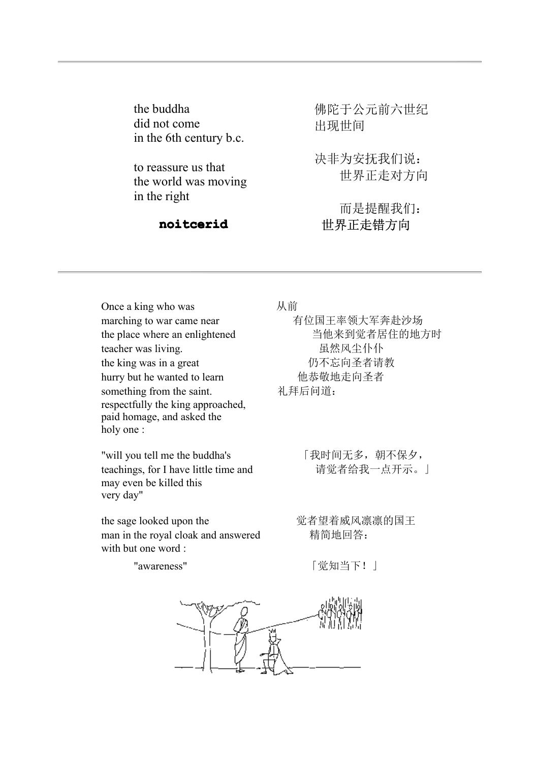the buddha did not come in the 6th century b.c.

to reassure us that the world was moving in the right

 $noise$ 

佛陀于公元前六世纪 出现世间

决非为安抚我们说: 世界正走对方向

而是提醒我们: 世界正走错方向

Once <sup>a</sup> king who was 从前 marching to war came near 有位国王率领大军奔赴沙场 teacher was living. <br>
■ 最然风尘仆仆 the king was in a great <br>
(例不忘向圣者请教 hurry but he wanted to learn **the manufacture of the control details** 他恭敬地走向圣者 something from the saint. 礼拜后问道: respectfully the king approached, paid homage, and asked the holy one :

"will you tell me the buddha's [我时间无多, 朝不保夕, teachings, for I have little time and 请觉者给我一点开示。」 may even be killed this very day"

the sage looked upon the 觉者望着威风凛凛的国王 man in the royal cloak and answered 精简地回答: with but one word :

the <sup>p</sup>lace where an enlightened 当他来到觉者居住的地方时

"awareness" 「觉知当下!」

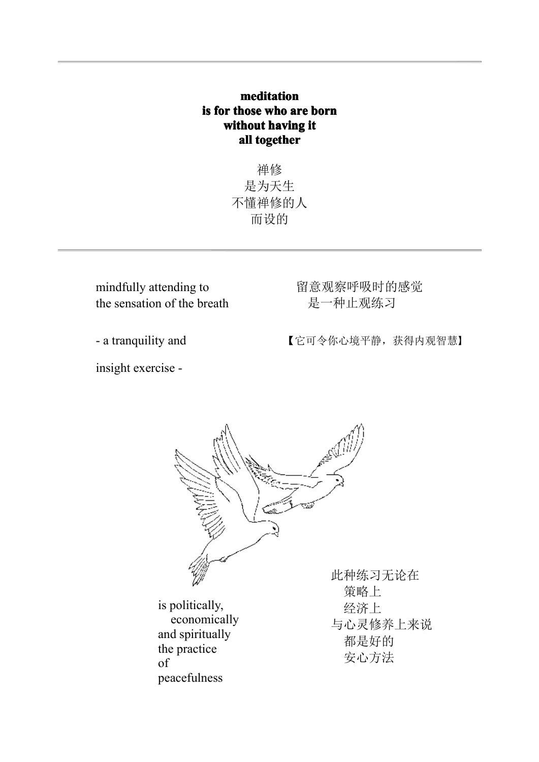### **meditation is for those who are born without without having it all together together**

禅修 是为天生 不懂禅修的人 而设的

the sensation of the breath 是一种止观练习

mindfully attending to 留意观察呼吸时的感觉

- a tranquility and

【它可令你心境平静,获得内观智慧】

insight exercise -

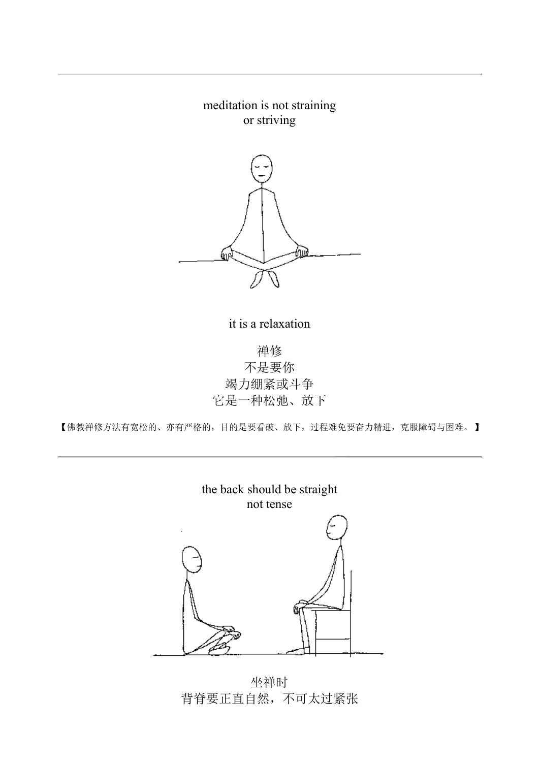meditation is not straining or striving



it is <sup>a</sup> relaxation

禅修 不是要你 竭力绷紧或斗争 它是一种松弛、放下

【佛教禅修方法有宽松的、亦有严格的,目的是要看破、放下,过程难免要奋力精进,克服障碍与困难。 】



坐禅时 背脊要正直自然,不可太过紧张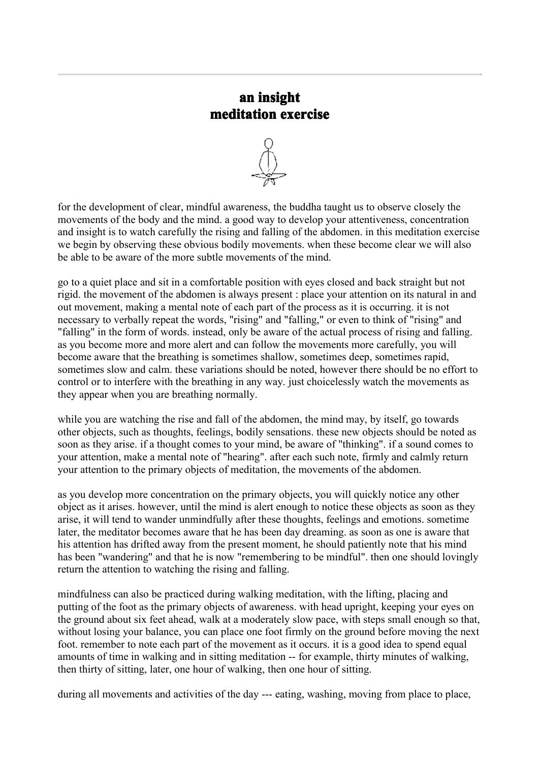### **an** insight **meditation exercise**

for the development of clear, mindful awareness, the buddha taught us to observe closely the movements of the body and the mind. <sup>a</sup> good way to develop your attentiveness, concentration and insight is towatch carefully the rising and falling of the abdomen. in this meditation exercise we begin by observing these obvious bodily movements. when these become clear we will also be able to be aware of the more subtle movements of the mind.

go to <sup>a</sup> quiet place and sit in <sup>a</sup> comfortable position with eyes closed and back straight but not rigid. the movement of the abdomen is always presen<sup>t</sup> : place your attention on its natural in and out movement, making <sup>a</sup> mental note of each par<sup>t</sup> of the process as it is occurring. it is not necessary to verbally repea<sup>t</sup> the words, "rising" and "falling," or even to think of "rising" and "falling" in the form of words. instead, only be aware of the actual process of rising and falling. as you become more and more alert and can follow the movements more carefully, you will become aware that the breathing is sometimes shallow, sometimes deep, sometimes rapid, sometimes slow and calm. these variations should be noted, however there should be no effort to control or to interfere with the breathing in any way, just choicelessly watch the movements as they appear when you are breathing normally.

while you are watching the rise and fall of the abdomen, the mind may, by itself, go towards other objects, such as thoughts, feelings, bodily sensations. these new objects should be noted as soon as they arise, if a thought comes to your mind, be aware of "thinking", if a sound comes to your attention, make <sup>a</sup> mental note of "hearing". after each such note, firmly and calmly return your attention to the primary objects of meditation, the movements of the abdomen.

as you develop more concentration on the primary objects, you will quickly notice any other object as it arises, however, until the mind is alert enough to notice these objects as soon as they arise, it will tend to wander unmindfully after these thoughts, feelings and emotions. sometime later, the meditator becomes aware that he has been day dreaming. as soon as one is aware that his attention has drifted away from the presen<sup>t</sup> moment, he should patiently note that his mind has been "wandering" and that he is now "remembering to be mindful". then one should lovingly return the attention to watching the rising and falling.

mindfulness can also be practiced during walking meditation, with the lifting, placing and putting of the foot as the primary objects of awareness. with head upright, keeping your eyes on the ground about six feet ahead, walk at <sup>a</sup> moderately slow pace, with steps small enough so that, without losing your balance, you can place one foot firmly on the ground before moving the next foot, remember to note each part of the movement as it occurs, it is a good idea to spend equal amounts of time in walking and in sitting meditation -- for example, thirty minutes of walking, then thirty of sitting, later, one hour of walking, then one hour of sitting.

during all movements and activities of the day --- eating, washing, moving from place to place,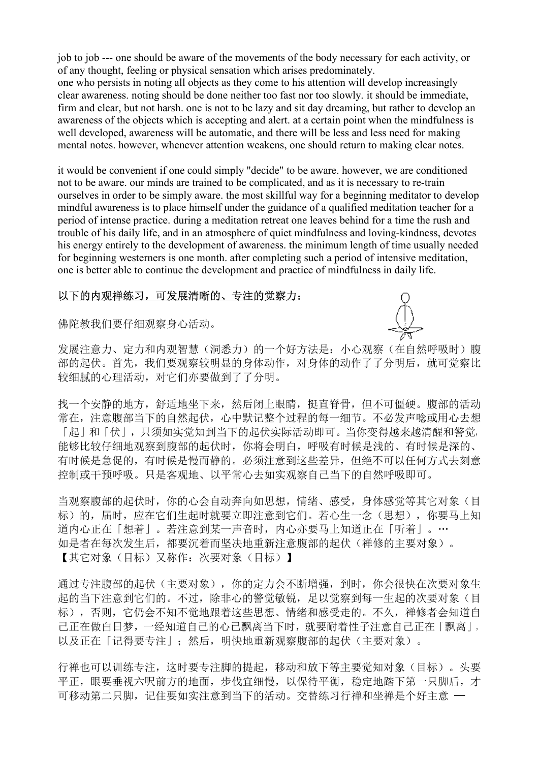job to job --- one should be aware of the movements of the body necessary for each activity, or of any thought, feeling or physical sensation which arises predominately. one who persists in noting all objects as they come to his attention will develop increasingly clear awareness. noting should be done neither too fast nor tooslowly. it should be immediate, firm and clear, but not harsh. one is not to be lazy and sit day dreaming, but rather to develop an awareness of the objects which is accepting and alert. at <sup>a</sup> certain point when the mindfulness is well developed, awareness will be automatic, and there will be less and less need for making mental notes. however, whenever attention weakens, one should return to making clear notes.

it would be convenient if one could simply "decide" to be aware. however, we are conditioned not to be aware. our minds are trained to be complicated, and as it is necessary to re-train ourselves in order to be simply aware. the most skillful way for <sup>a</sup> beginning meditator to develop mindful awareness is to place himself under the guidance of <sup>a</sup> qualified meditation teacher for <sup>a</sup> period of intense practice. during <sup>a</sup> meditation retreat one leaves behind for <sup>a</sup> time the rush and trouble of his daily life, and in an atmosphere of quiet mindfulness and loving-kindness, devotes his energy entirely to the development of awareness. the minimum length of time usually needed for beginning westerners is one month. after completing such <sup>a</sup> period of intensive meditation, one is better able to continue the development and practice of mindfulness indaily life.

#### 以下的内观禅练习,可发展清晰的、专注的觉察力:

佛陀教我们要仔细观察身心活动。



找一个安静的地方,舒适地坐下来,然后闭上眼睛,挺直脊骨,但不可僵硬。腹部的活动 常在,注意腹部当下的自然起伏,心中默记整个过程的每一细节。不必发声唸或用心去想 「起」和「伏」,只须如实觉知到当下的起伏实际活动即可。当你变得越来越清醒和警觉, 能够比较仔细地观察到腹部的起伏时,你将会明白,呼吸有时候是浅的、有时候是深的、 有时候是急促的,有时候是慢而静的。必须注意到这些差异,但绝不可以任何方式去刻意 控制或干预呼吸。只是客观地、以平常心去如实观察自己当下的自然呼吸即可。

当观察腹部的起伏时,你的心会自动奔向如思想,情绪、感受,身体感觉等其它对象(目 标)的,届时,应在它们生起时就要立即注意到它们。若心生一念(思想),你要马上知 道内心正在「想着」。若注意到某一声音时,内心亦要马上知道正在「听着」。… 如是者在每次发生后,都要沉着而坚决地重新注意腹部的起伏(禅修的主要对象)。 【其它对象(目标)又称作:次要对象(目标)】

通过专注腹部的起伏(主要对象),你的定力会不断增强,到时,你会很快在次要对象生 起的当下注意到它们的。不过,除非心的警觉敏锐,足以觉察到每一生起的次要对象(目 标),否则,它仍会不知不觉地跟着这些思想、情绪和感受走的。不久,禅修者会知道自 己正在做白日梦,一经知道自己的心已飘离当下时,就要耐着性子注意自己正在「飘离」, 以及正在「记得要专注」;然后,明快地重新观察腹部的起伏(主要对象)。

行禅也可以训练专注,这时要专注脚的提起,移动和放下等主要觉知对象(目标)。头要 平正,眼要垂视六呎前方的地面,步伐宜细慢,以保待平衡,稳定地踏下第一只脚后,才 可移动第二只脚,记住要如实注意到当下的活动。交替练习行禅和坐禅是个好主意 一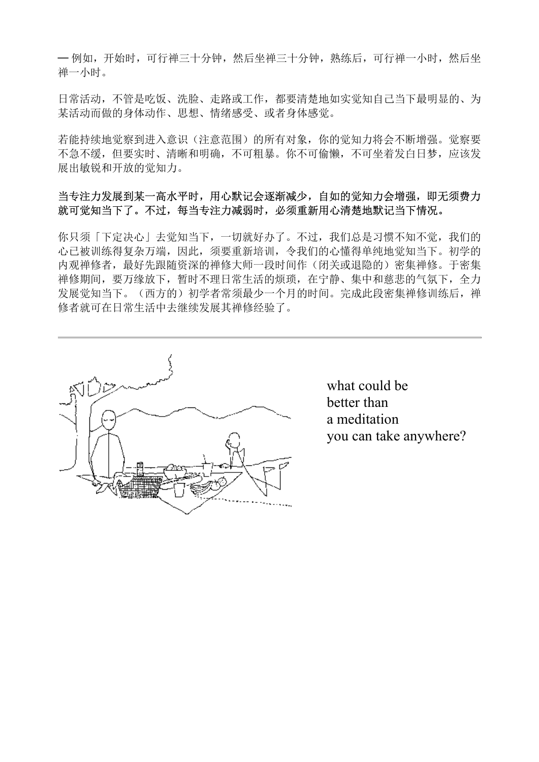一 例如,开始时,可行禅三十分钟,然后坐禅三十分钟,熟练后,可行禅一小时,然后坐 禅一小时。

> 日常活动,不管是吃饭、洗脸、走路或工作,都要清楚地如实觉知自己当下最明显的、为 某活动而做的身体动作、思想、情绪感受、或者身体感觉。

> 若能持续地觉察到进入意识(注意范围)的所有对象,你的觉知力将会不断增强。觉察要 不急不缓,但要实时、清晰和明确,不可粗暴。你不可偷懒,不可坐着发白日梦,应该发 展出敏锐和开放的觉知力。

#### 当专注力发展到某一高水平时,用心默记会逐渐减少,自如的觉知力会增强,即无须费力 就可觉知当下了。不过,每当专注力减弱时,必须重新用心清楚地默记当下情况。

你只须「下定决心」去觉知当下,一切就好办了。不过,我们总是习惯不知不觉,我们的 心已被训练得复杂万端,因此,须要重新培训,令我们的心懂得单纯地觉知当下。初学的 内观禅修者,最好先跟随资深的禅修大师一段时间作(闭关或退隐的)密集禅修。于密集 禅修期间,要万缘放下,暂时不理日常生活的烦琐,在宁静、集中和慈悲的气氛下,全力 发展觉知当下。(西方的)初学者常须最少一个月的时间。完成此段密集禅修训练后,禅 修者就可在日常生活中去继续发展其禅修经验了。



what could be better than <sup>a</sup> meditation you can take anywhere?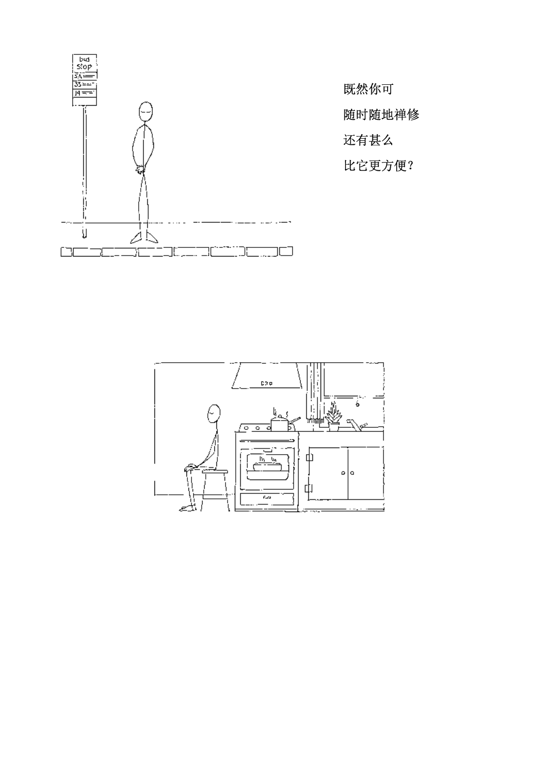

既然你可 随时随地禅修 还有甚么 比它更方便?

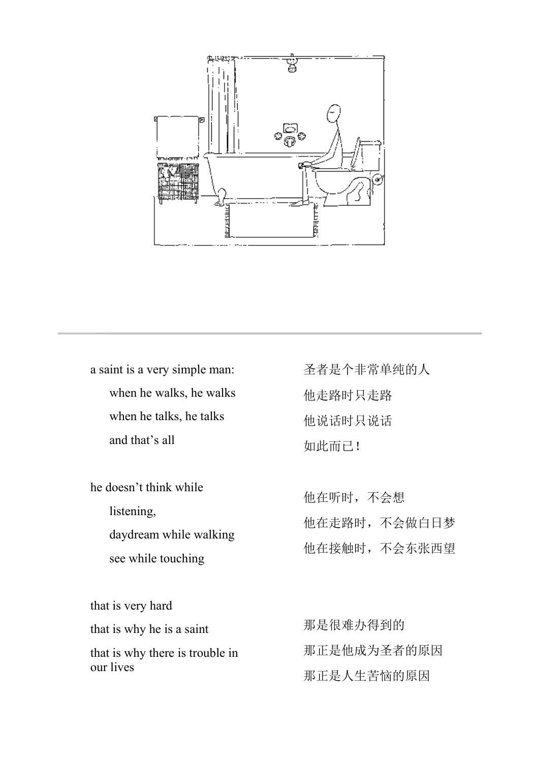

<sup>a</sup> saint is <sup>a</sup> very simple man: when he walks, he walks when he talks, he talks and that's all

he doesn't think while listening, daydream while walking see while touching

that is very hard that is why he is <sup>a</sup> saint that is why there is trouble in our lives

圣者是个非常单纯的人 他走路时只走路 他说话时只说话 如此而已!

他在听时,不会想 他在走路时,不会做白日梦 他在接触时,不会东张西望

那是很难办得到的 那正是他成为圣者的原因 那正是人生苦恼的原因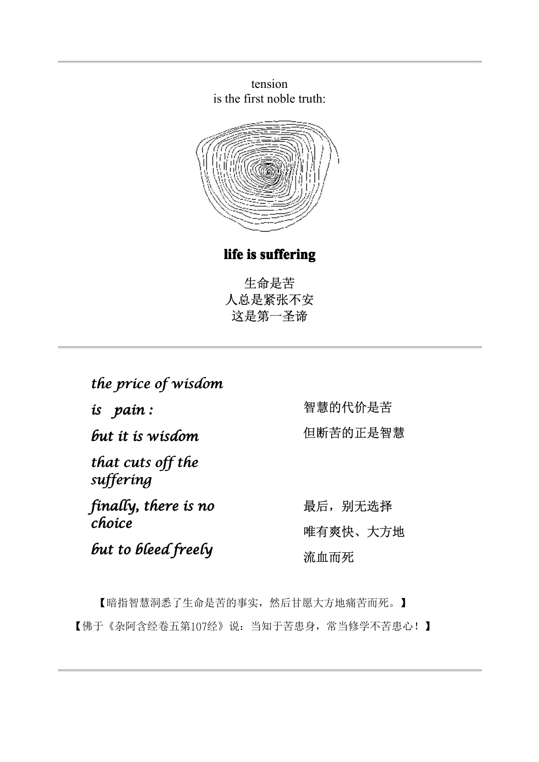tension is the first noble truth:



**life** is suffering

生命是苦 人总是紧张不安 这是第一圣谛

*the price of wisdom is pain : but it is wisdom that cuts off the suffering suffering suffering finally, inally, there is no choice but to bleed freely*

智慧的代价是苦

但断苦的正是智慧

最后,别无选择 唯有爽快、大方地 流血而死

【暗指智慧洞悉了生命是苦的事实,然后甘愿大方地痛苦而死。】 【佛于《杂阿含经卷五第107经》说:当知于苦患身,常当修学不苦患心!】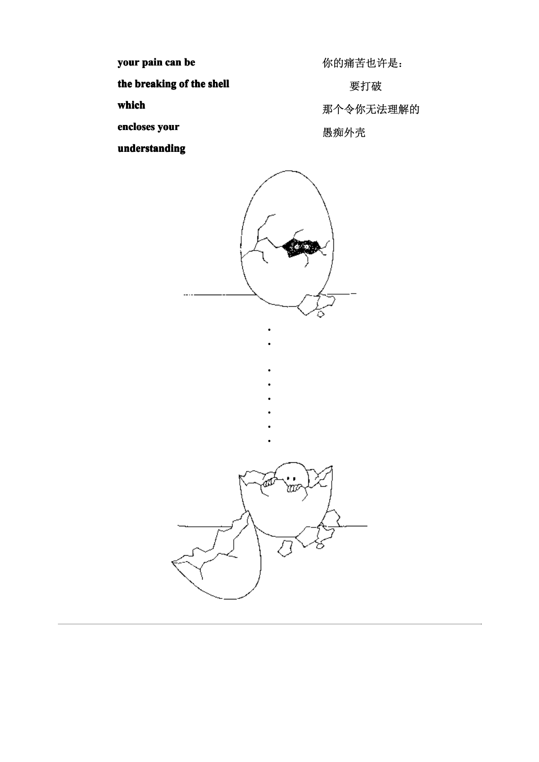**your pain can be**

**the breaking of the shell**

**which**

**encloses enclosesyour**

**understanding** 

你的痛苦也许是:

要打破

那个令你无法理解的

愚痴外壳

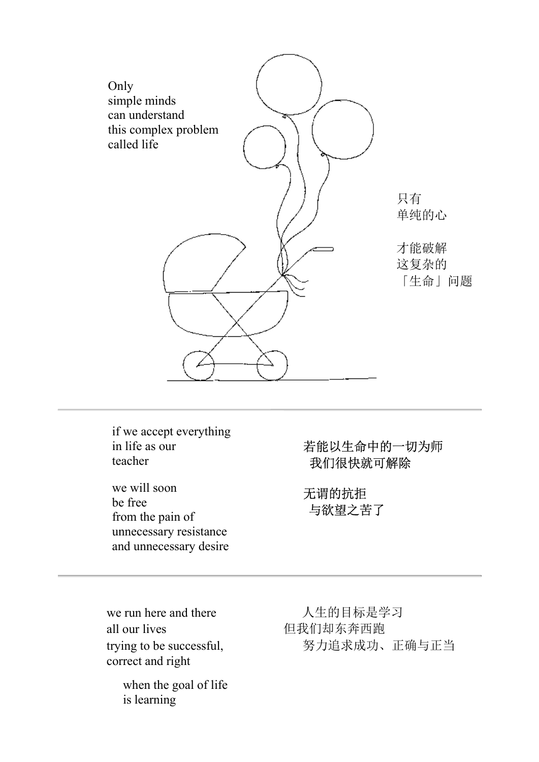

if we accep<sup>t</sup> everything in life as our teacher

we will soon be free from the pain of unnecessary resistance and unnecessary desire 若能以生命中的一切为师 我们很快就可解除

无谓的抗拒 与欲望之苦了

all our lives <br>
all our lives correct and right

when the goal of life is learning

we run here and there <br>
<br/>  $\label{eq:K} \lambda \pm \mathrm{i} \eta \, \mathrm{I} \, k \mp \mathrm{i} \lambda$ trying to be successful, 努力追求成功、正确与正当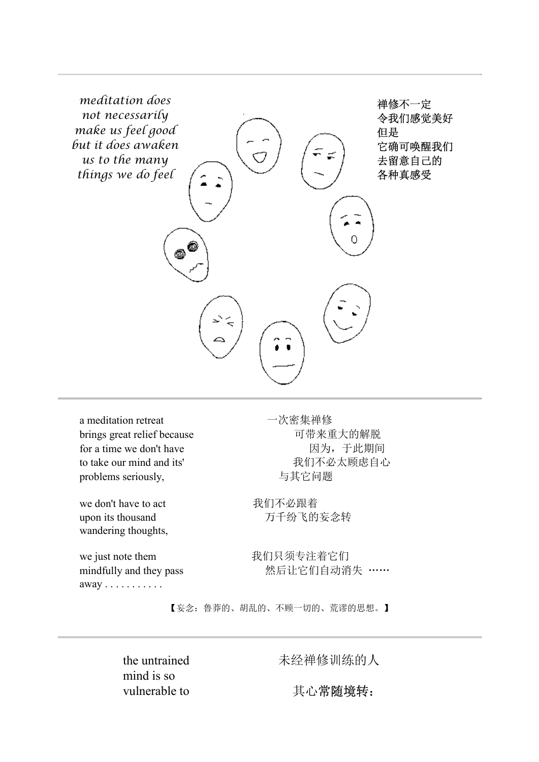

a meditation retreat http://www.com/discommunity/setted html - 次密集禅修 brings grea<sup>t</sup> relief because 可带来重大的解脱 for a time we don't have **B**为, 于此期间 to take our mind and its' <br> **我们不必太顾虑自心** problems seriously, http://www.problems.com/

we don't have to act 我们不必跟着 wandering thoughts,

away . . . . . . . . . . .

upon its thousand 万千纷飞的妄念转

we just note them 我们只须专注着它们 mindfully and they pass <br> 然后让它们自动消失 ……

【妄念:鲁莽的、胡乱的、不顾一切的、荒谬的思想。】

mind is so vulnerable to 其心常随境转:

the untrained 未经禅修训练的人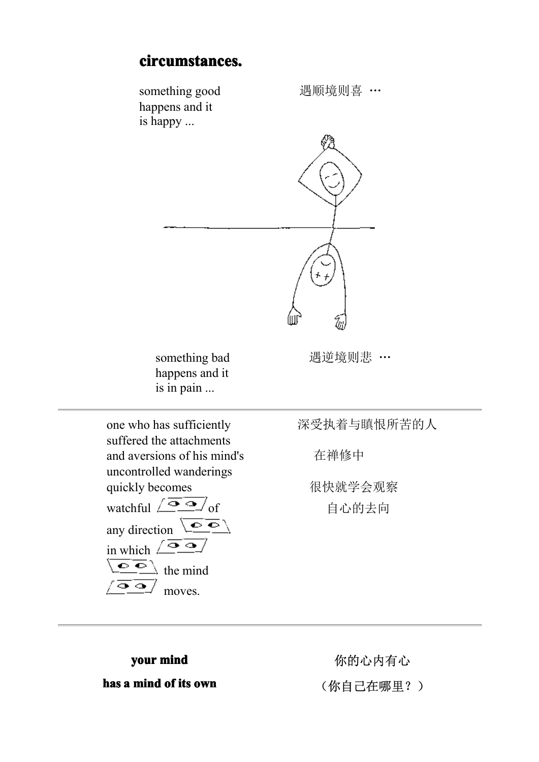

**your mind has <sup>a</sup> mind of its own** 你的心内有心

(你自己在哪里?)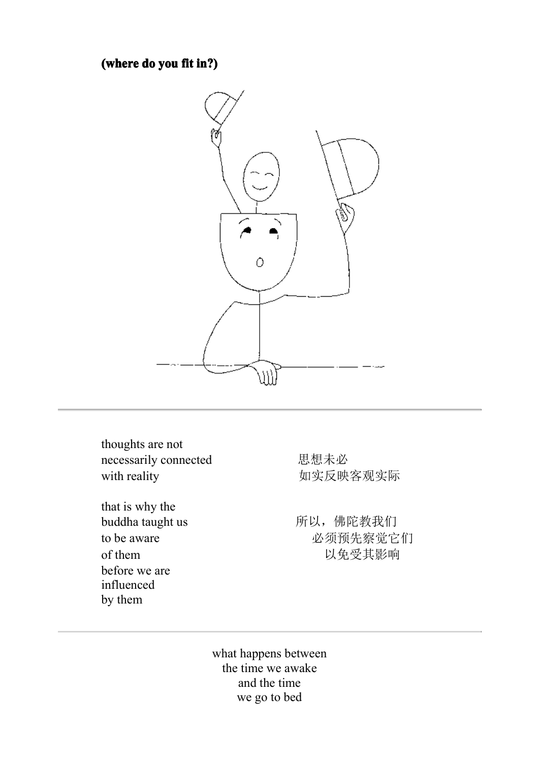### **(where do you fit in?)**



thoughts are not necessarily connected **思想未必** with reality http://www.with reality books and the control of the set of the control of the control of the cont

that is why the before we are influenced by them

buddha taught us 所以, 佛陀教我们 to be aware https://www.php?induck.com/default.com/default.com/default.com/ of them 以免受其影响

> what happens between the time we awake and the time we go to bed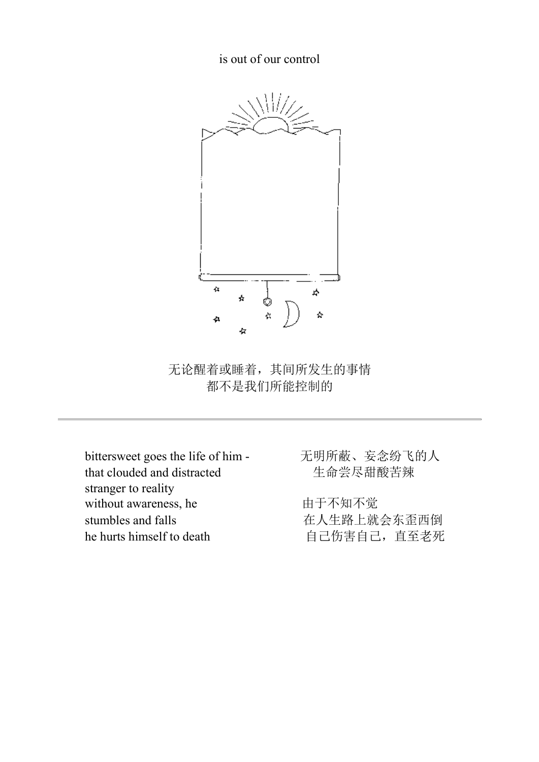is out of our control



无论醒着或睡着,其间所发生的事情 都不是我们所能控制的

bittersweet goes the life of him - 无明所蔽、妄念纷飞的人 that clouded and distracted <a>
<a>
</a>
</a>
<a>
<a</a>
<a>
<a</>
<a</>
<a</a>
<a</>
<a</>
<a</>
<a</>
<a</>
<a</>
<a</>
<a</>
<a</>
<a</>
<a</>
<a</>
<a</>
<a</>
<a</>
<a</>
<a</>
<a</>
<a</>
<a</>
<a</>
<a</>
<a</>
<a< stranger to reality without awareness, he 由于不知不觉 stumbles and falls 在人生路上就会东歪西倒 he hurts himself to death <br>
自己伤害自己, 直至老死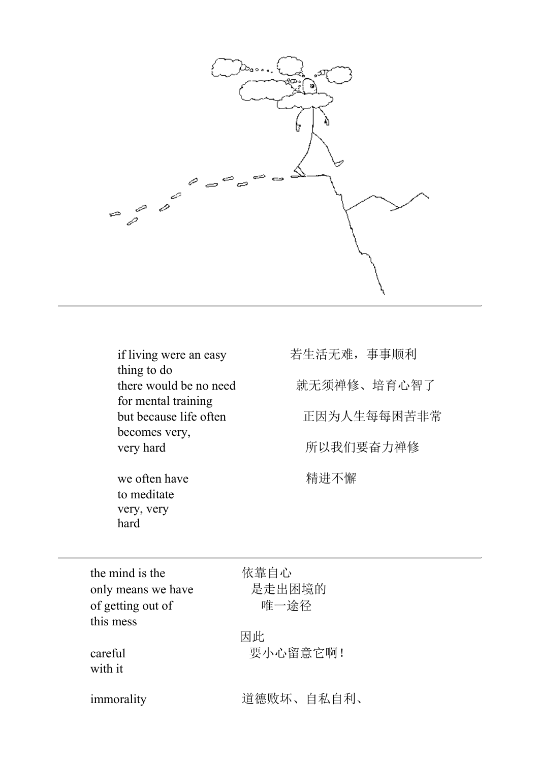

thing to do for mental training becomes very,<br>very hard

to meditate very, very hard

if living were an easy 若生活无难, 事事顺利 there would be no need 就无须禅修、培育心智了 but because life often 正因为人生每每困苦非常 所以我们要奋力禅修 we often have **精进不懈** 

| the mind is the    | 依靠自心       |  |
|--------------------|------------|--|
| only means we have | 是走出困境的     |  |
| of getting out of  | 唯一途径       |  |
| this mess          |            |  |
|                    | 因此         |  |
| careful            | 要小心留意它啊!   |  |
| with it            |            |  |
|                    |            |  |
| immorality         | 道德败坏、自私自利、 |  |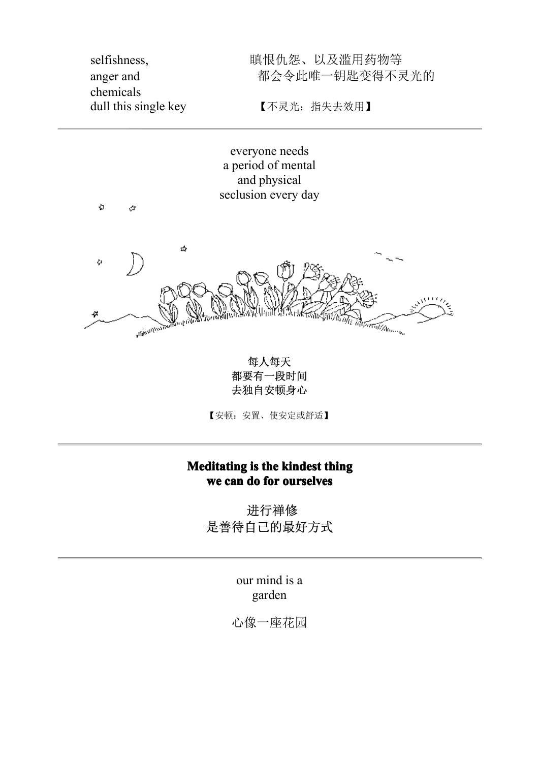selfishness, 瞋恨仇怨、以及滥用药物等 anger and **anger and the angle of the angle of the angle of the angle of the angle of the angle angle angle angl** chemicals dull this single key **【不灵光: 指失去效用】** 

白

⇙

everyone needs <sup>a</sup> period of mental and physical seclusion every day



每人每天 都要有一段时间 去独自安顿身心

【安顿:安置、使安定或舒适】

### **Meditating is the kindest thing we can do for ourselves ourselves**

进行禅修 是善待自己的最好方式

> our mind is <sup>a</sup> garden

心像一座花园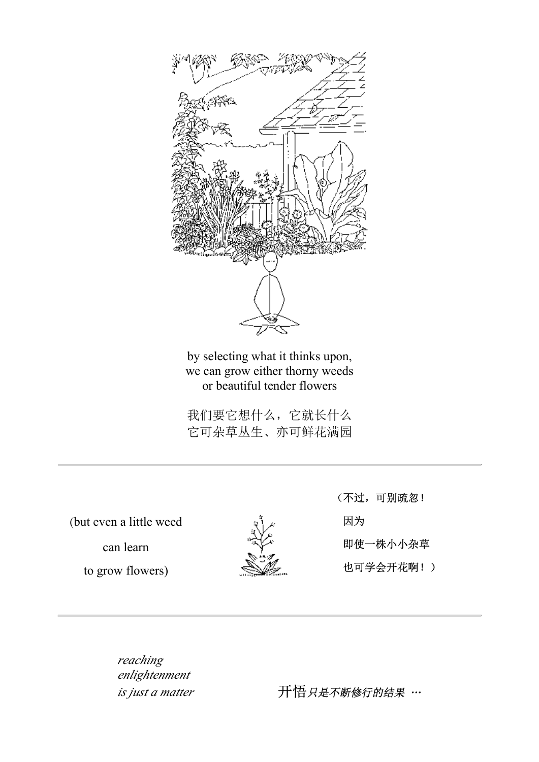

by selecting what it thinks upon, we can grow either thorny weeds or beautiful tender flowers

我们要它想什么,它就长什么 它可杂草丛生、亦可鲜花满园

(but even <sup>a</sup> little weed can learn to grow flowers)



(不过,可别疏忽! 因为 即使一株小小杂草 也可学会开花啊!)

*reaching enlightenment*

*is just <sup>a</sup> matter* 开悟只是不断修行的结果 …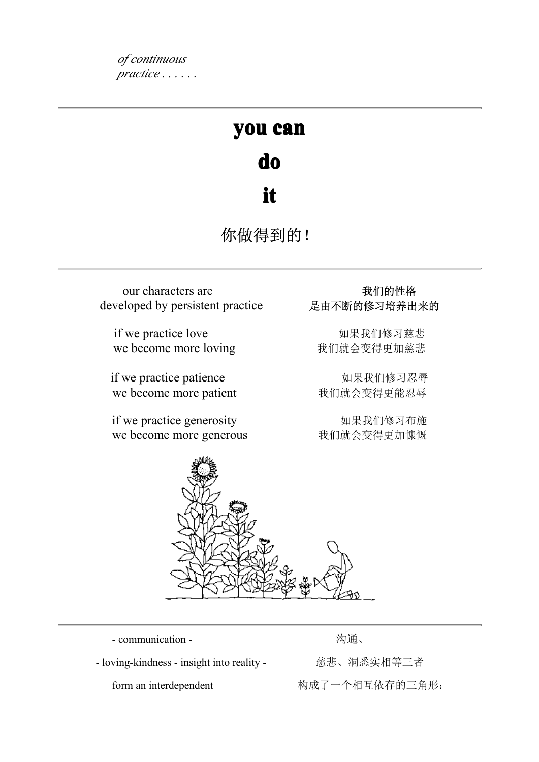*of continuous practice . . . . . .*

# **you can**

# **do**

# **it**

# 你做得到的!

### our characters are 我们的性格 developed by persistent practice 是由不断的修习培养出来的

if we practice love http://www.fileson.com/display/state/state/state/state/state/ we become more loving <br> **The absolution** 我们就会变得更加慈悲

if we practice patience https://www.marking.com/discrease/inf/web/20205/and/markingwe become more patient 我们就会变得更能忍辱

if we practice generosity **holder than the state of the state of the state of the state of the state of the state of the state of the state of the state of the state of the state of the state of the state of the state of** we become more generous **the properties** 我们就会变得更加慷慨



- communication - 沟通、

- loving-kindness - insight into reality - 慈悲、洞悉实相等三者

form an interdependent **the context of the context of the context**  $k$  is  $\forall$  *k*)  $\forall$  *k*)  $\forall$  *k*)  $\forall$  *k*)  $\forall$  *k*)  $\forall$  *k*)  $\forall$  *k*)  $\forall$  *k*)  $\forall$  *k*)  $\forall$  *k*)  $\forall$  *k*)  $\forall$  *k*)  $\forall$  *k*)  $\forall$  *k*)  $\forall$  *k*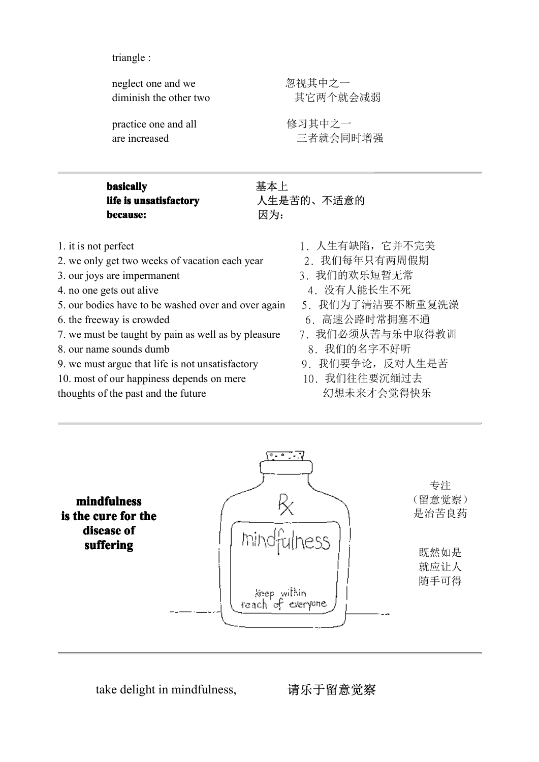triangle :

neglect one and we and we and  $\mathbb{R}$  视其中之一 diminish the other two **Lack of the set of the set of the set of the set of the set of the set of the set of the set of the set of the set of the set of the set of the set of the set of the set of the set of the set of th** 

practice one and all **修习其中之一** 

are increased 三者就会同时增强

**basically** 基本上 **life is unsatisfactory unsatisfactory unsatisfactory**人生是苦的、不适意的 **because:** 因为:

- 2. we only ge<sup>t</sup> two weeks of vacation each year 2. 我们每年只有两周假期
- 3. our joys are impermanent <br>
3. 我们的欢乐短暂无常
- 
- 5. our bodies have to be washed over and over again 5. 我们为了清洁要不断重复洗澡
- 
- 7. we must be taught by pain as well asby <sup>p</sup>leasure 7. 我们必须从苦与乐中取得教训
- 8. our name sounds dumb <br>8. 我们的名字不好听
- 9. we must argue that life is not unsatisfactory <br>9. 我们要争论,反对人生是苦
- 10. most of our happiness depends on mere 10. 我们往往要沉缅过去

thoughts of the past and the future <br>
3. 幻想未来才会觉得快乐

- 1. it is not perfect <br>
1. 人生有缺陷,它并不完美
	-
	-
- 4. no one gets out alive 4. 没有人能长生不死
	-
- 6. the freeway is crowded 6. 高速公路时常拥塞不通
	-
	-
	-



take delight in mindfulness, 请乐于留意觉察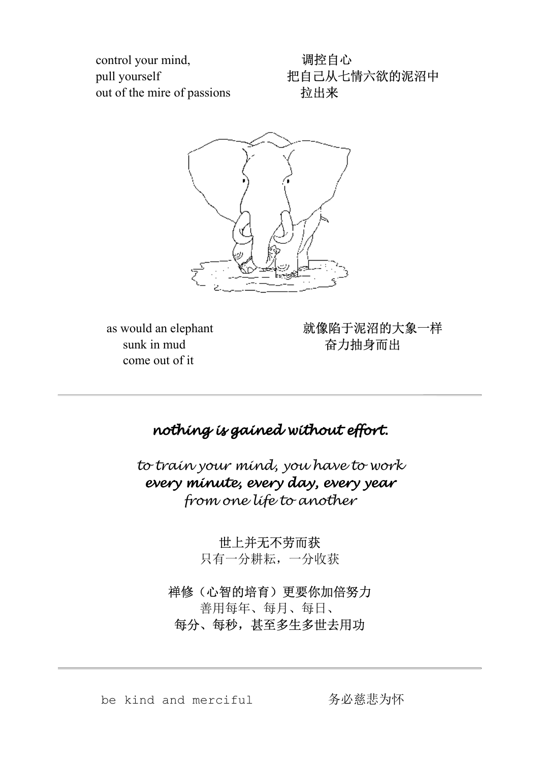control your mind, **调控自心** out of the mire of passions 拉出来

pull yourself http://www.http://www.http://www.http://www.http://www.http://www.



come out of it

as would an elephant <br> **as would an elephant** sunk in mud **奋力抽身而出** 

## *nothing nothing is gained without without withoutwithout effort. effort. effort.*

*to train your mind, you have to work every minute, every day, every year from one life to another*

> 世上并无不劳而获 只有一分耕耘,一分收获

禅修(心智的培育)更要你加倍努力 善用每年、每月、每日、 每分、每秒,甚至多生多世去用功

be kind and merciful 务必慈悲为怀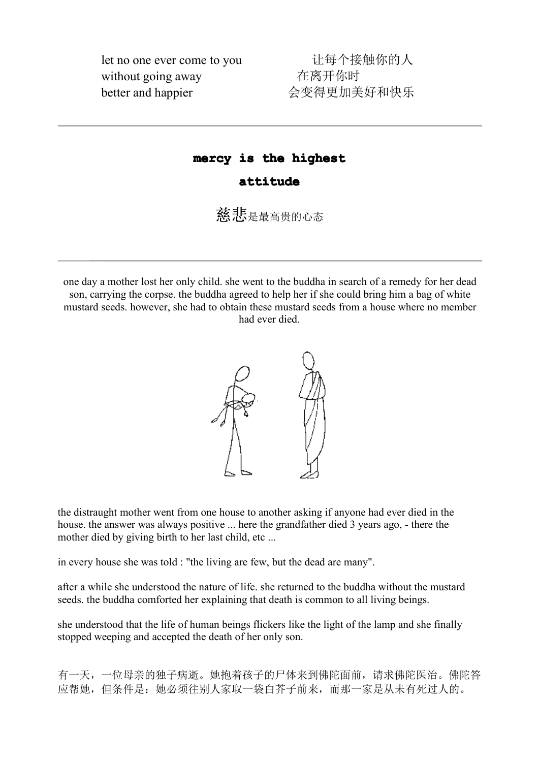let no one ever come to you 让每个接触你的人 without going away **在离开你**时 better and happier 会变得更加美好和快乐

## **mercy is the highest highest**

#### **attitude**

慈悲是最高贵的心态

one day <sup>a</sup> mother lost her only child. she went to the buddha in search of <sup>a</sup> remedy for her dead son, carrying the corpse. the buddha agreed to help her if she could bring him <sup>a</sup> bag of white mustard seeds. however, she had to obtain these mustard seeds from <sup>a</sup> house where no member had ever died.



the distraught mother went from one house to another asking if anyone had ever died in the house. the answer was always positive ... here the grandfather died 3 years ago, - there the mother died by giving birth to her last child, etc ...

in every house she was told : "the living are few, but the dead are many".

after <sup>a</sup> while she understood the nature of life. she returned to the buddha without the mustard seeds. the buddha comforted her explaining that death is common to all living beings.

she understood that the life of human beings flickers like the light of the lamp and she finally stopped weeping and accepted the death of her only son.

有一天,一位母亲的独子病逝。她抱着孩子的尸体来到佛陀面前,请求佛陀医治。佛陀答 应帮她,但条件是:她必须往别人家取一袋白芥子前来,而那一家是从未有死过人的。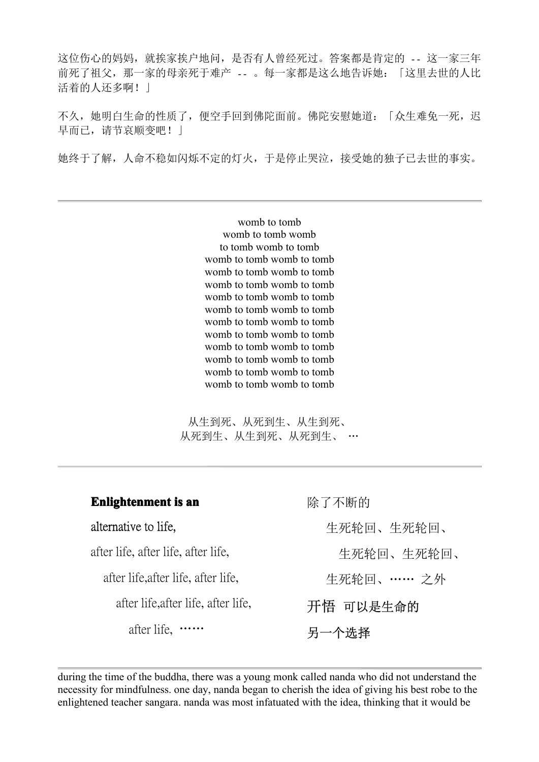这位伤心的妈妈,就挨家挨户地问,是否有人曾经死过。答案都是肯定的 -- 这一家三年 前死了祖父,那一家的母亲死于难产 -- 。每一家都是这么地告诉她:「这里去世的人比 活着的人还多啊!」

不久,她明白生命的性质了,便空手回到佛陀面前。佛陀安慰她道:「众生难免一死,迟 早而已,请节哀顺变吧!」

她终于了解,人命不稳如闪烁不定的灯火,于是停止哭泣,接受她的独子已去世的事实。

womb to tomb womb to tomb womb to tomb womb to tomb womb to tomb womb to tomb womb to tomb womb to tomb womb to tomb womb to tomb womb to tomb womb to tomb womb to tomb womb to tomb womb to tomb womb to tomb womb to tomb womb to tomb womb to tomb womb to tomb womb to tomb womb to tomb womb to tomb womb to tomb womb to tomb womb to tomb

从生到死、从死到生、从生到死、 从死到生、从生到死、从死到生、 …

| <b>Enlightenment is an</b>          | 除了不断的      |
|-------------------------------------|------------|
| alternative to life,                | 生死轮回、生死轮回、 |
| after life, after life, after life, | 生死轮回、生死轮回、 |
| after life, after life, after life, | 生死轮回、…… 之外 |
| after life, after life, after life, | 开悟 可以是生命的  |
| after life, $\cdots$                | ≻选择<br>另一  |

during the time of the buddha, there was <sup>a</sup> young monk called nanda who did not understand the necessity for mindfulness. one day, nanda began to cherish the idea of giving his best robe to the enlightened teacher sangara. nanda was most infatuated with the idea, thinking that it would be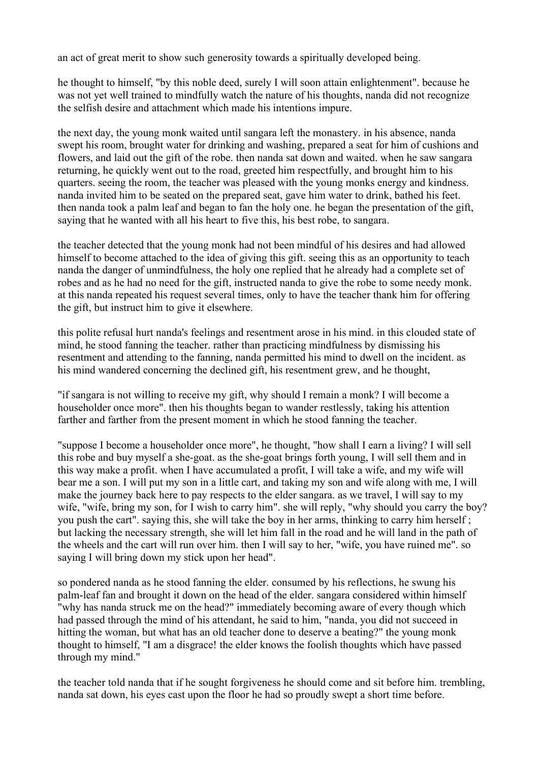an act of grea<sup>t</sup> merit to show such generosity towards <sup>a</sup> spiritually developed being.

he thought to himself, "by this noble deed, surely I will soon attain enlightenment". because he was not ye<sup>t</sup> well trained to mindfully watch the nature of his thoughts, nanda did not recognize the selfish desire and attachment which made his intentions impure.

the next day, the young monk waited until sangara left the monastery. in his absence, nanda swep<sup>t</sup> his room, brought water for drinking and washing, prepared <sup>a</sup> seat for him of cushions and flowers, and laid out the gift of the robe. then nanda sat down and waited. when he saw sangara returning, he quickly went out to the road, greeted him respectfully, and brought him to his quarters. seeing the room, the teacher was pleased with the young monks energy and kindness. nanda invited him to be seated on the prepared seat, gave him water to drink, bathed his feet. then nanda took <sup>a</sup> palm leaf and began to fan the holy one. he began the presentation of the gift, saying that he wanted with all his heart to five this, his best robe, to sangara.

the teacher detected that the young monk had not been mindful of his desires and had allowed himself to become attached to the idea of giving this gift. seeing this as an opportunity to teach nanda the danger of unmindfulness, the holy one replied that he already had <sup>a</sup> complete set of robes and as he had no need for the gift, instructed nanda to give the robe to some needy monk. at this nanda repeated his reques<sup>t</sup> several times, only to have the teacher thank him for offering the gift, but instruct him to give it elsewhere.

this polite refusal hurt nanda's feelings and resentment arose in his mind. in this clouded state of mind, he stood fanning the teacher. rather than practicing mindfulness by dismissing his resentment and attending to the fanning, nanda permitted his mind to dwell on the incident. as his mind wandered concerning the declined gift, his resentment grew, and he thought,

"if sangara is not willing to receive my gift, why should I remain <sup>a</sup> monk? I will become <sup>a</sup> householder once more". then his thoughts began to wander restlessly, taking his attention farther and farther from the presen<sup>t</sup> moment in which he stood fanning the teacher.

"suppose I become <sup>a</sup> householder once more", he thought, "how shall I earn <sup>a</sup> living? I will sell this robe and buy myself <sup>a</sup> she-goat. as the she-goat brings forth young, I will sell them and in this way make <sup>a</sup> profit. when I have accumulated <sup>a</sup> profit, I will take <sup>a</sup> wife, and my wife will bear me <sup>a</sup> son. I will pu<sup>t</sup> my son in <sup>a</sup> little cart, and taking my son and wife along with me, I will make the journey back here to pay respects to the elder sangara, as we travel, I will say to my wife, "wife, bring my son, for I wish to carry him". she will reply, "why should you carry the boy? you push the cart". saying this, she will take the boy in her arms, thinking to carry him herself ; but lacking the necessary strength, she will let him fall in the road and he will land in the path of the wheels and the cart will run over him. then I will say to her, "wife, you have ruined me". so saying I will bring down my stick upon her head".

so pondered nanda as he stood fanning the elder. consumed by his reflections, he swung his palm-leaf fanand brought it down on the head of the elder. sangara considered within himself "why has nanda struck me on the head?" immediately becoming aware of every though which had passed through the mind of his attendant, he said to him, "nanda, you did not succeed in hitting the woman, but what has an old teacher done to deserve <sup>a</sup> beating?" the young monk thought to himself, "I am <sup>a</sup> disgrace! the elder knows the foolish thoughts which have passed through my mind."

the teacher told nanda that if he sought forgiveness he should come and sit before him. trembling, nanda sat down, his eyes cast upon the floor he had so proudly swep<sup>t</sup> <sup>a</sup> short time before.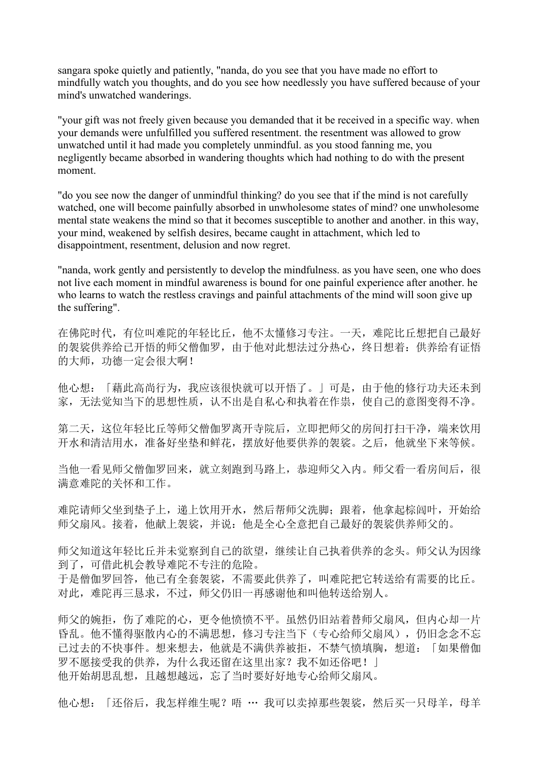sangara spoke quietly and patiently, "nanda, do you see that you have made no effort to mindfully watch you thoughts, and do you see how needlessly you have suffered because of your mind's unwatched wanderings.

"your gift was not freely given because you demanded that it be received in <sup>a</sup> specific way. when your demands were unfulfilled you suffered resentment. the resentment was allowed to grow unwatched until it had made you completely unmindful. as you stood fanning me, you negligently became absorbed in wandering thoughts which had nothing to do with the presen<sup>t</sup> moment.

"do you see now the danger of unmindful thinking? do you see that if the mind is not carefully watched, one will become painfully absorbed in unwholesome states of mind? one unwholesome mental state weakens the mind so that it becomes susceptible to another and another. in this way, your mind, weakened by selfish desires, became caught in attachment, which led to disappointment, resentment, delusion and now regret.

"nanda, work gently and persistently to develop the mindfulness. as you have seen, one who does not live each moment in mindful awareness is bound for one painful experience after another. he who learns to watch the restless cravings and painful attachments of the mind will soon give up the suffering".

在佛陀时代,有位叫难陀的年轻比丘,他不太懂修习专注。一天,难陀比丘想把自己最好 的袈裟供养给已开悟的师父僧伽罗,由于他对此想法过分热心,终日想着:供养给有证悟 的大师,功德一定会很大啊!

他心想:「藉此高尚行为,我应该很快就可以开悟了。」可是,由于他的修行功夫还未到 家,无法觉知当下的思想性质,认不出是自私心和执着在作祟,使自己的意图变得不净。

第二天,这位年轻比丘等师父僧伽罗离开寺院后,立即把师父的房间打扫干净,端来饮用 开水和清洁用水,准备好坐垫和鲜花,摆放好他要供养的袈裟。之后,他就坐下来等候。

当他一看见师父僧伽罗回来,就立刻跑到马路上,恭迎师父入内。师父看一看房间后,很 满意难陀的关怀和工作。

难陀请师父坐到垫子上,递上饮用开水,然后帮师父洗脚;跟着,他拿起棕闾叶,开始给 师父扇风。接着,他献上袈裟,并说:他是全心全意把自己最好的袈裟供养师父的。

师父知道这年轻比丘并未觉察到自己的欲望,继续让自己执着供养的念头。师父认为因缘 到了,可借此机会教导难陀不专注的危险。

于是僧伽罗回答,他已有全套袈裟,不需要此供养了,叫难陀把它转送给有需要的比丘。 对此,难陀再三恳求,不过,师父仍旧一再感谢他和叫他转送给别人。

师父的婉拒,伤了难陀的心,更令他愤愤不平。虽然仍旧站着替师父扇风,但内心却一片 昏乱。他不懂得驱散内心的不满思想,修习专注当下(专心给师父扇风),仍旧念念不忘 已过去的不快事件。想来想去,他就是不满供养被拒,不禁气愤填胸,想道:「如果僧伽 罗不愿接受我的供养,为什么我还留在这里出家?我不如还俗吧!」 他开始胡思乱想,且越想越远,忘了当时要好好地专心给师父扇风。

他心想: 「还俗后, 我怎样维生呢?唔 … 我可以卖掉那些袈裟, 然后买一只母羊, 母羊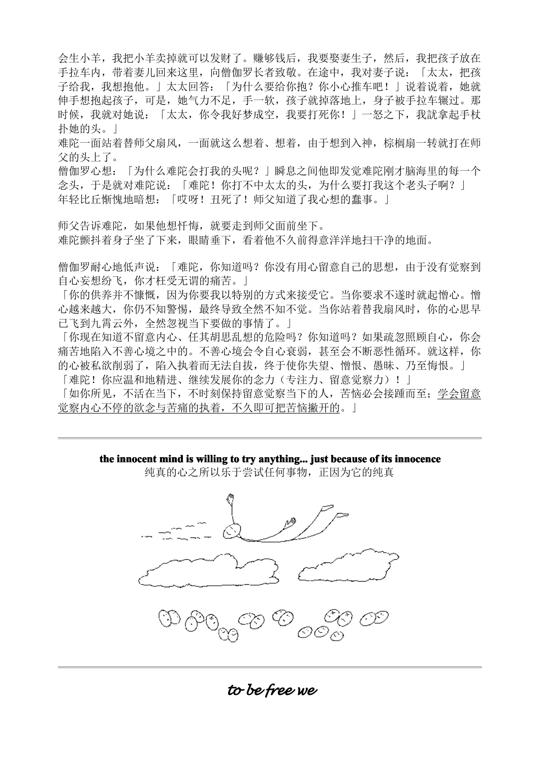会生小羊,我把小羊卖掉就可以发财了。赚够钱后,我要娶妻生子,然后,我把孩子放在 手拉车内,带着妻儿回来这里,向僧伽罗长者致敬。在途中,我对妻子说:「太太,把孩 子给我,我想抱他。」太太回答:「为什么要给你抱?你小心推车吧!」说着说着,她就 伸手想抱起孩子,可是,她气力不足,手一软,孩子就掉落地上,身子被手拉车辗过。那 时候,我就对她说:「太太,你令我好梦成空,我要打死你!」一怒之下,我訧拿起手杖 扑她的头。」

难陀一面站着替师父扇风,一面就这么想着、想着,由于想到入神,棕榈扇一转就打在师 父的头上了。

僧伽罗心想:「为什么难陀会打我的头呢?」瞬息之间他即发觉难陀刚才脑海里的每一个 念头,于是就对难陀说:「难陀!你打不中太太的头,为什么要打我这个老头子啊?」 年轻比丘惭愧地暗想:「哎呀!丑死了!师父知道了我心想的蠢事。」

师父告诉难陀,如果他想忏悔,就要走到师父面前坐下。 难陀颤抖着身子坐了下来,眼睛垂下,看着他不久前得意洋洋地扫干净的地面。

僧伽罗耐心地低声说:「难陀,你知道吗?你没有用心留意自己的思想,由于没有觉察到 自心妄想纷飞,你才枉受无谓的痛苦。」

「你的供养并不慷慨,因为你要我以特别的方式来接受它。当你要求不遂时就起憎心。憎 心越来越大,你仍不知警惕,最终导致全然不知不觉。当你站着替我扇风时,你的心思早 已飞到九霄云外,全然忽视当下要做的事情了。」

「你现在知道不留意内心、任其胡思乱想的危险吗?你知道吗?如果疏忽照顾自心,你会 痛苦地陷入不善心境之中的。不善心境会令自心衰弱,甚至会不断恶性循环。就这样,你 的心被私欲削弱了,陷入执着而无法自拔,终于使你失望、憎恨、愚昧、乃至悔恨。」 「难陀!你应温和地精进、继续发展你的念力(专注力、留意觉察力)!」

「如你所见,不活在当下,不时刻保持留意觉察当下的人,苦恼必会接踵而至;学会留意 觉察内心不停的欲念与苦痛的执着,不久即可把苦恼撇开的。」

#### **the innocent mind is willing to try anything... anything...just because of its innocence innocence**



纯真的心之所以乐于尝试任何事物,正因为它的纯真

*to be free we*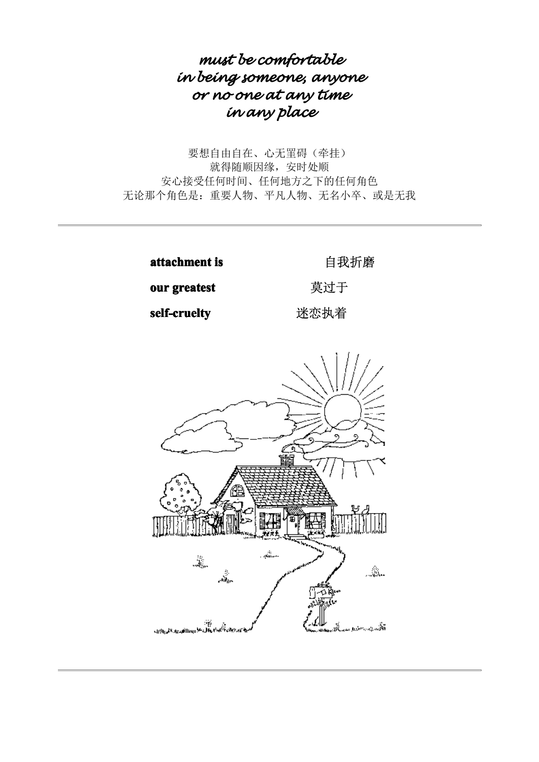*must be comfortable comfortable in being someone, someone, someone, someone,anyone or no one at any time in any place*

要想自由自在、心无罣碍(牵挂) 就得随顺因缘,安时处顺 安心接受任何时间、任何地方之下的任何角色 无论那个角色是:重要人物、平凡人物、无名小卒、或是无我

**attachment is** 自我折磨 **our greatest greatest** 莫过于

**self-cruelty self-cruelty self-cruelty** 迷恋执着

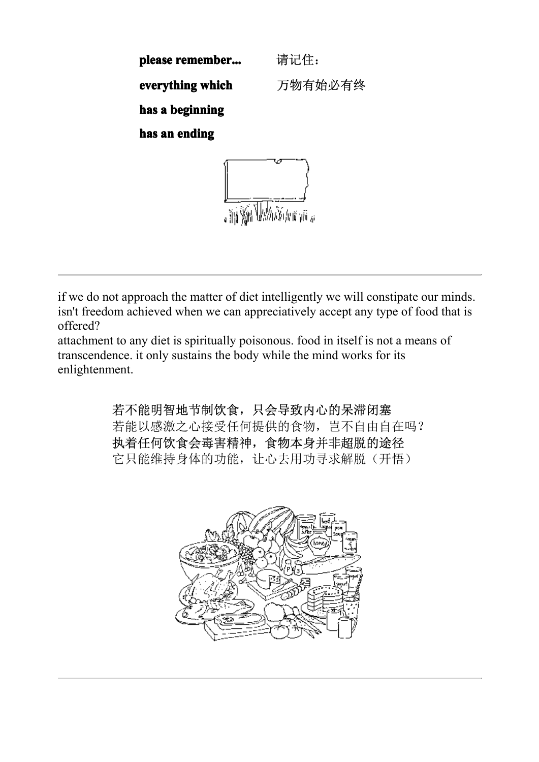**please remember...** 请记住: **everything everything which** 万物有始必有终 **has** a **beginning has an ending**



if we do not approach the matter of diet intelligently we will constipate our minds. isn't freedom achieved when we can appreciatively accep<sup>t</sup> any type of food that is offered?

attachment to any diet is spiritually poisonous. food in itself is not <sup>a</sup> means of transcendence. it only sustains the body while the mind works for its enlightenment.



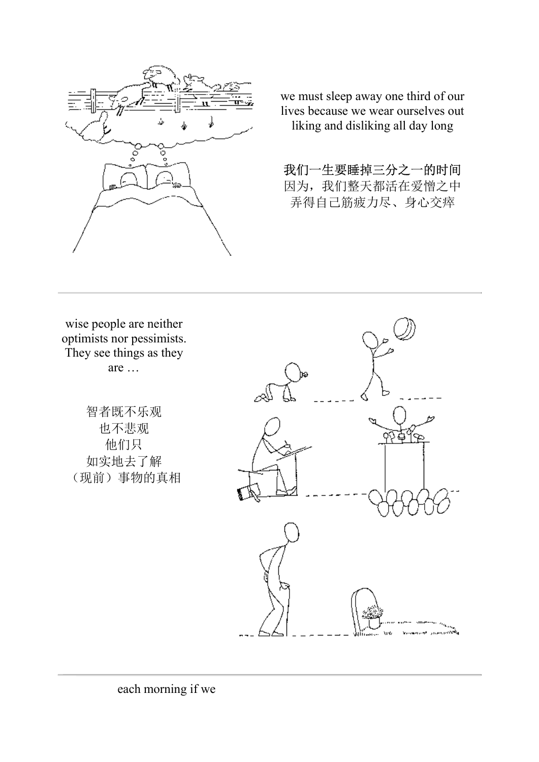

we must sleep away one third of our lives because we wear ourselves out liking and disliking all day long

### 我们一生要睡掉三分之一的时间

因为,我们整天都活在爱憎之中 弄得自己筋疲力尽、身心交瘁

wise people are neither optimists nor pessimists. They see things as they are …

智者既不乐观 也不悲观 他们只 如实地去了解 (现前)事物的真相

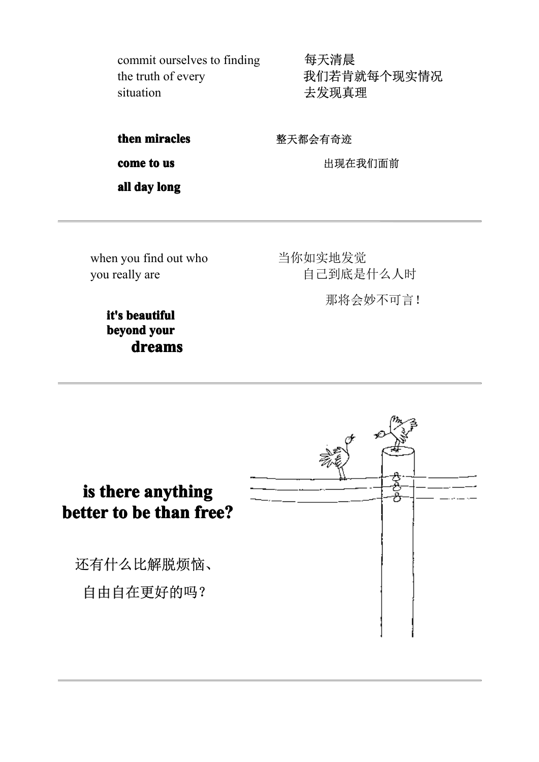commit ourselves to finding 每天清晨 the truth of every **the truth of every 我们若肯就每个现实情况** situation **大发现真理** 

**all day long**

**then miracles miracles** 整天都会有奇迹

**come** to us **http://web/2016/adjace/educations** 出现在我们面前

when you find out who **当你如实地发觉** 

you really are <br>
and the contract of the contract of the contract of the contract of the contract of the contract of the contract of the contract of the contract of the contract of the contract of the contract of the cont

那将会妙不可言!

**it's beautiful beyond your dreams**



还有什么比解脱烦恼、

自由自在更好的吗?

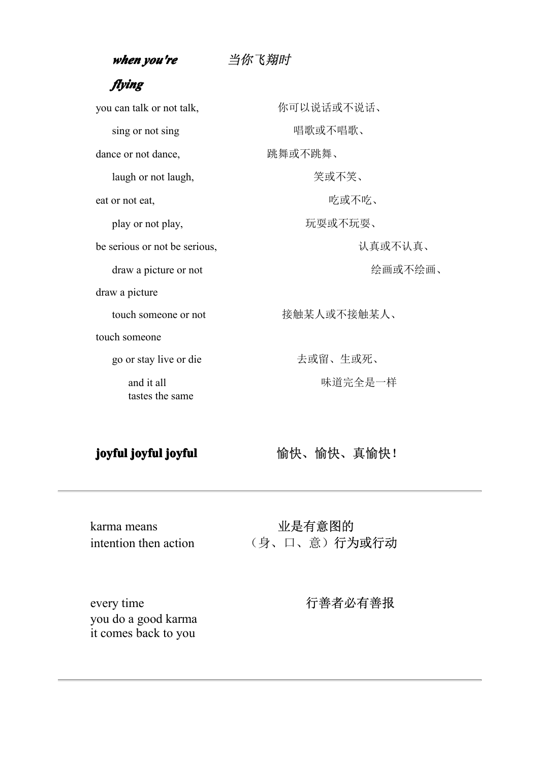*when you're* 当你飞翔时

### *flying*

you can talk or not talk,  $\qquad \qquad \qquad$  你可以说话或不说话、 sing or not sing **home of the sing or not sing the sing or not sing the sing or not sing the sing of the sing** dance or not dance, **and the original control of the control control control control control control control control control control control control control control control control control control control control control** laugh or not laugh, <br> 笑或不笑、 eat or not eat, https://www.cat.org/community/community/community/community/community/community/community/comm play or not play, https://www.file.com/industrial/space.com/industrial/space.com/ be serious or not be serious, <br>  $\mathcal{N} \nsubseteq \mathcal{N} \setminus \mathcal{N} \nsubseteq \mathcal{N}$ draw a picture or not <br> **example 2** to the contract of the set of the set of the set of the set of the set of the set of the set of the set of the set of the set of the set of the set of the set of the set of the set of t draw <sup>a</sup> picture touch someone or not 接触某人或不接触某人、 touch someone go or stay live or die 去或留、生或死、

tastes the same

and it all https://www.facebook.com/distail/between-the-the-the-the-the-the-the-

## **joyful joyful joyful** 愉快、愉快、真愉快!

karma means 业是有意图的

intention then action (身、口、意)行为或行动

you do <sup>a</sup> good karma it comes back to you

### every time **the controlled as a controlled a controlled a controlled a controlled a controlled a controlled a controlled a controlled a controlled a controlled a controlled a controlled a controlled a controlled a control**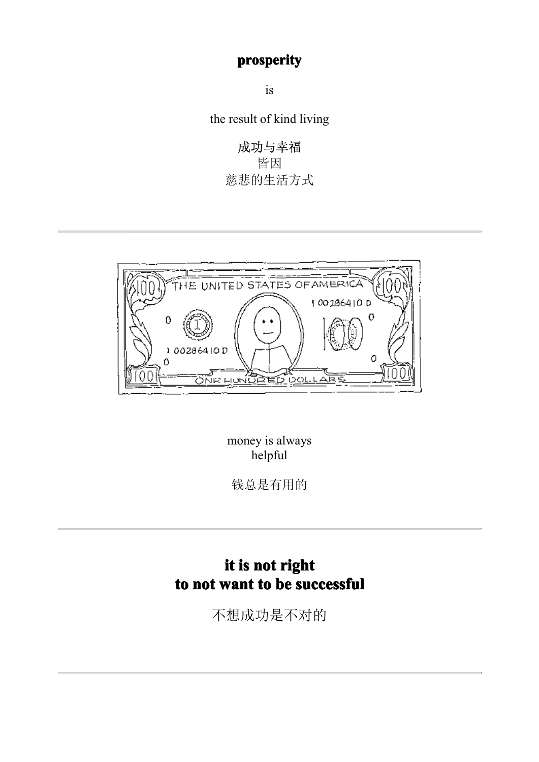# **prosperity prosperity prosperity**

is

the result of kind living

## 成功与幸福

皆因 慈悲的生活方式



money is always helpful

钱总是有用的

# **it is not right to not want to be successful successful successfulsuccessful**

不想成功是不对的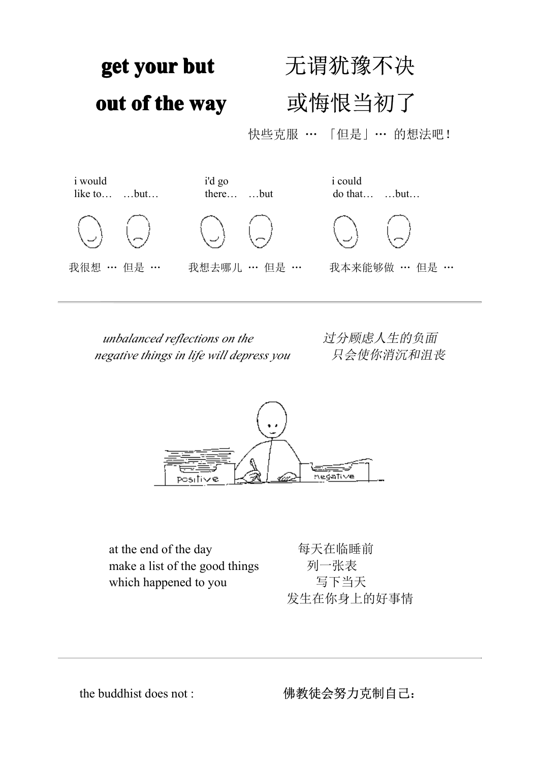

*unbalanced reflections on the* 过分顾虑人生的负面 *negative things inlife will depress you* 只会使你消沉和沮丧



at the end of the day 每天在临睡前 make a list of the good things 列一张表 which happened to you <br>
写下当天

发生在你身上的好事情

the buddhist does not : **佛教徒会努力克制自己:**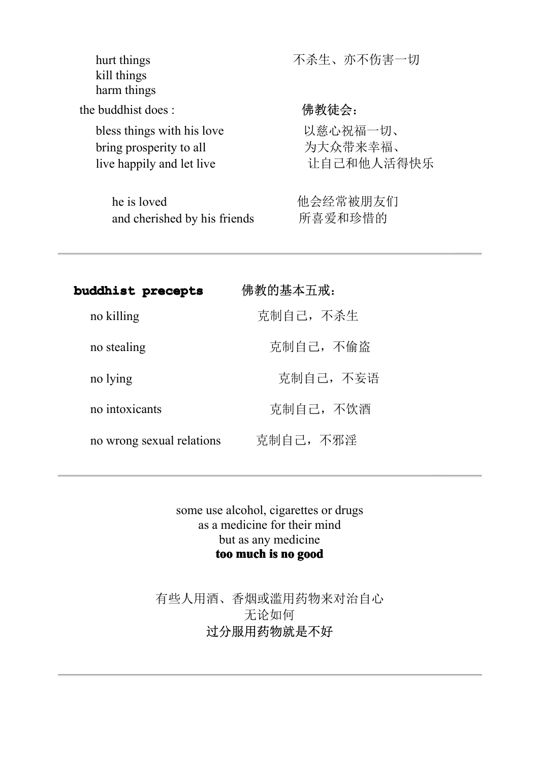hurt things The Text of Text of Text of Text of Text of Text of Text of Text of Text of Text of Text of Text o kill things harm things the buddhist does : **佛教徒会:** bless things with his love 以慈心祝福一切、 bring prosperity to all **the contract contract contract by 为**大众带来幸福、 live happily and let live 让自己和他人活得快乐

he is loved **the induced** the is loved and cherished by his friends 所喜爱和珍惜的

| buddhist precepts         | 佛教的基本五戒:  |
|---------------------------|-----------|
| no killing                | 克制自己, 不杀生 |
| no stealing               | 克制自己,不偷盗  |
| no lying                  | 克制自己, 不妄语 |
| no intoxicants            | 克制自己, 不饮酒 |
| no wrong sexual relations | 克制自己, 不邪淫 |

some use alcohol, cigarettes or drugs as <sup>a</sup> medicine for their mind but as any medicine **too much is no good**

有些人用酒、香烟或滥用药物来对治自心 无论如何 过分服用药物就是不好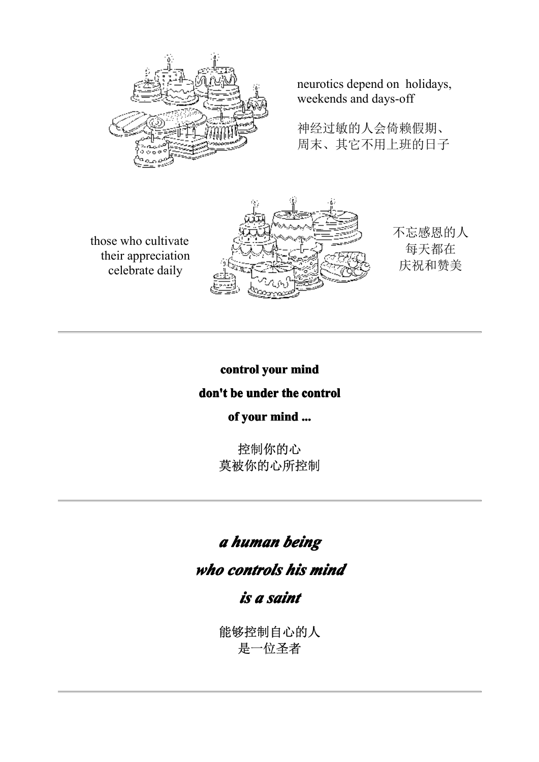

neurotics depend on holidays, weekends and days-off

神经过敏的人会倚赖假期、 周末、其它不用上班的日子

those who cultivate their appreciation celebrate daily



不忘感恩的人 每天都在 庆祝和赞美

### **control controlyour mind**

### **don't be under the control control**

**of your mind ...**

控制你的心 莫被你的心所控制

*<sup>a</sup> human being*

*who controls controls controlscontrolshis mind*

*is <sup>a</sup> saint*

能够控制自心的人 是一位圣者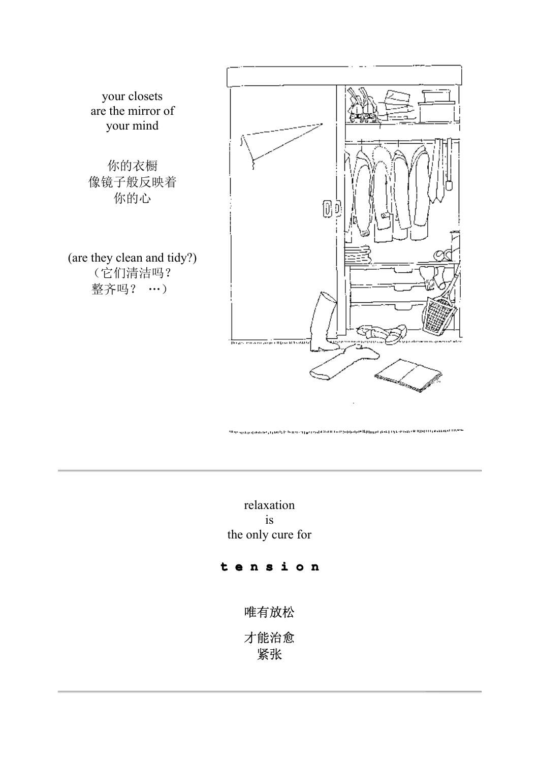

relaxation is the only cure for

**t e n s i o n**

唯有放松

才能治愈 紧张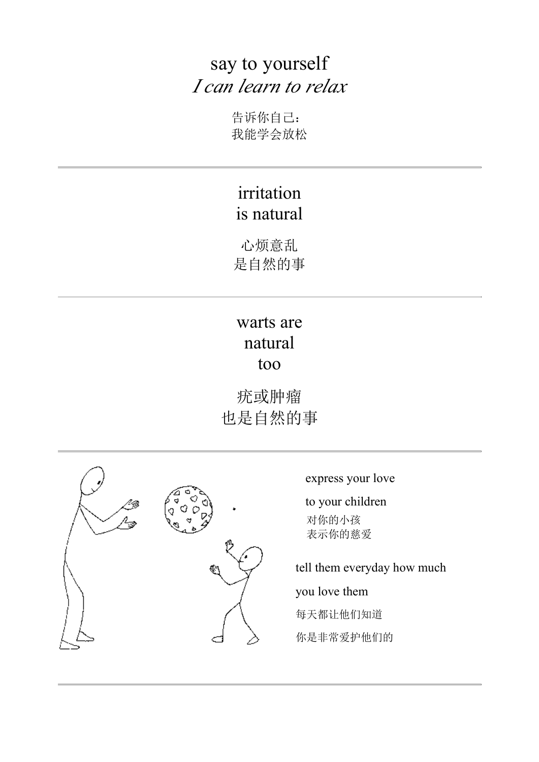# say to yourself *I can learn to relax*

告诉你自己: 我能学会放松

# irritation is natural

心烦意乱 是自然的事

warts are natural too

疣或肿瘤 也是自然的事



express your love

to your children 对你的小孩 表示你的慈爱

tell them everyday how much

you love them

每天都让他们知道

你是非常爱护他们的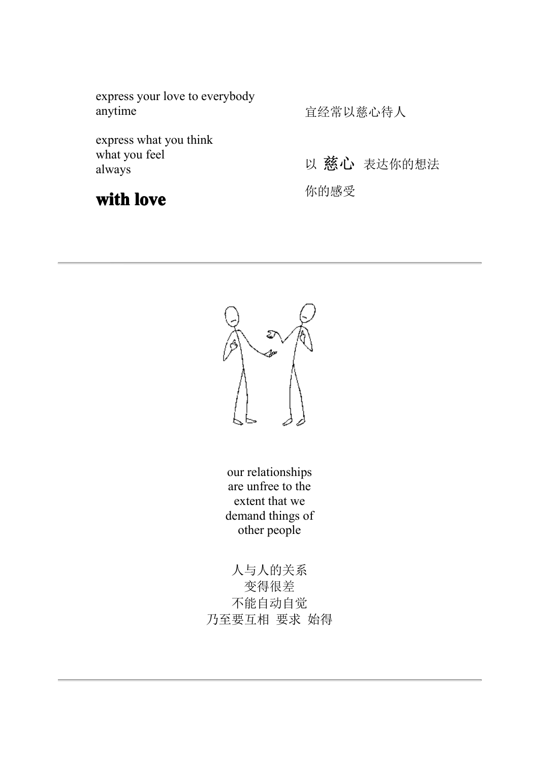express your love to everybody anytime

express what you think what you feel always

# **with love**

宜经常以慈心待人

以 慈心 表达你的想法

你的感受



our relationships are unfree to the extent that we demand things of other people

人与人的关系 变得很差 不能自动自觉 乃至要互相 要求 始得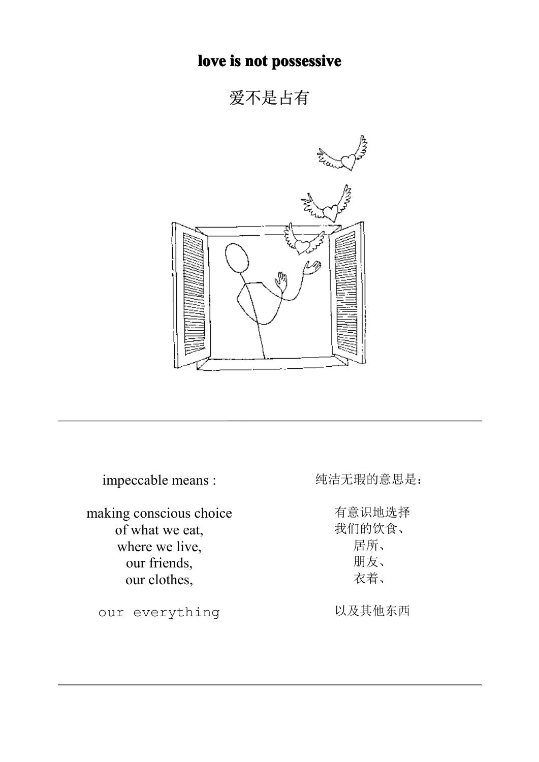# **love is not possessive possessive**



impeccable means :

making conscious choice of what we eat, where we live, our friends, our clothes,

our everything

纯洁无瑕的意思是:

有意识地选择 我们的饮食、 居所、 朋友、 衣着、

以及其他东西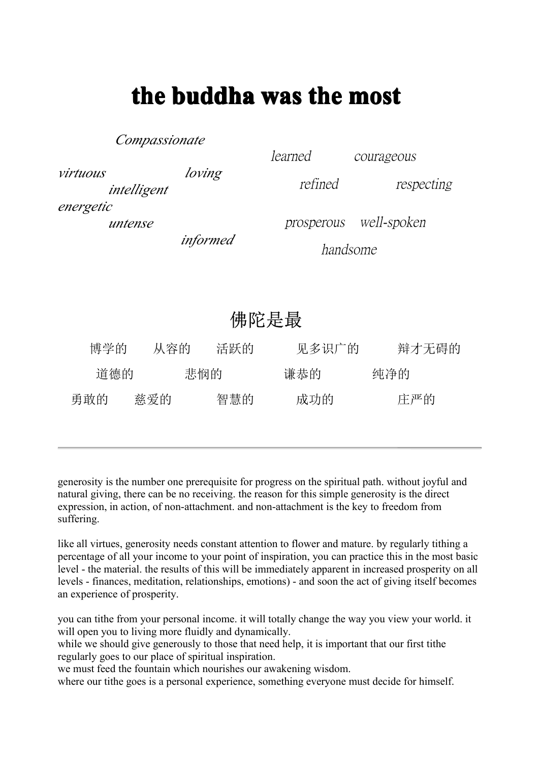# **the buddha was the most**

*Compassionate*

*virtuous loving intelligent energetic untense informed* learned courageous refined respecting prosperous well-spoken handsome

佛陀是最

| 博学的 | 从容的 | 活跃的 | 见多识广的 | 辩才无碍的 |
|-----|-----|-----|-------|-------|
| 道德的 |     | 悲悯的 | 谦恭的   | 纯净的   |
| 勇敢的 | 慈爱的 | 智慧的 | 成功的   | 庄严的   |

generosity is the number one prerequisite for progress on the spiritual path. without joyful and natural giving, there can be no receiving. the reason for this simple generosity is the direct expression, in action, of non-attachment. and non-attachment is the key to freedom from suffering.

like all virtues, generosity needs constant attention to flower and mature. by regularly tithing <sup>a</sup> percentage of all your income to your point of inspiration, you can practice this inthe most basic level - the material. the results of this will be immediately apparen<sup>t</sup> in increased prosperity on all levels - finances, meditation, relationships, emotions) - and soon the act of giving itself becomes an experience of prosperity.

you can tithe from your personal income. it will totally change the way you view your world. it will open you to living more fluidly and dynamically.

while we should give generously to those that need help, it is important that our first tithe regularly goes to our place of spiritual inspiration.

we must feed the fountain which nourishes our awakening wisdom.

where our tithe goes is <sup>a</sup> personal experience, something everyone must decide for himself.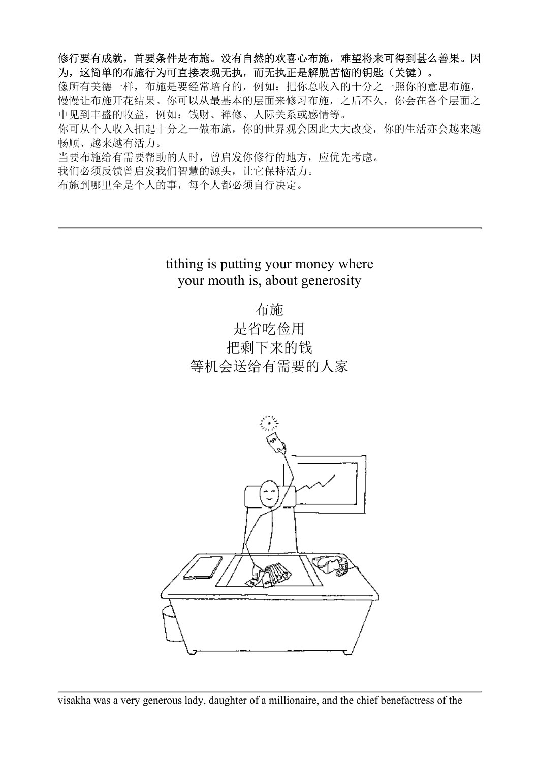修行要有成就,首要条件是布施。没有自然的欢喜心布施,难望将来可得到甚么善果。因 为,这简单的布施行为可直接表现无执,而无执正是解脱苦恼的钥匙(关键)。 像所有美德一样,布施是要经常培育的,例如:把你总收入的十分之一照你的意思布施, 慢慢让布施开花结果。你可以从最基本的层面来修习布施,之后不久,你会在各个层面之 中见到丰盛的收益,例如:钱财、禅修、人际关系或感情等。 你可从个人收入扣起十分之一做布施,你的世界观会因此大大改变,你的生活亦会越来越 畅顺、越来越有活力。 当要布施给有需要帮助的人时,曾启发你修行的地方,应优先考虑。 我们必须反馈曾启发我们智慧的源头,让它保持活力。 布施到哪里全是个人的事,每个人都必须自行决定。

> tithing is putting your money where your mouth is, about generosity

> > 布施 是省吃俭用 把剩下来的钱 等机会送给有需要的人家



visakha was <sup>a</sup> very generous lady, daughter of <sup>a</sup> millionaire, and the chief benefactress of the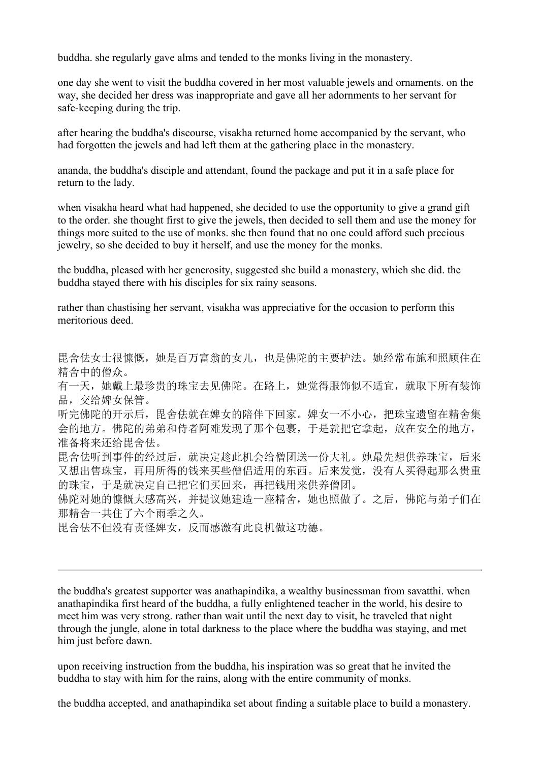buddha. she regularly gave alms and tended to the monks living in the monastery.

one day she went to visit the buddha covered in her most valuable jewels and ornaments. on the way, she decided her dress was inappropriate and gave all her adornments to her servant for safe-keeping during the trip.

after hearing the buddha's discourse, visakha returned home accompanied by the servant, who had forgotten the jewels and had left them at the gathering place in the monastery.

ananda, the buddha's disciple and attendant, found the package and pu<sup>t</sup> it in <sup>a</sup> safe place for return to the lady.

when visakha heard what had happened, she decided to use the opportunity to give <sup>a</sup> grand gift to the order. she thought first to give the jewels, then decided to sell them and use the money for things more suited to the use of monks. she then found that no one could afford such precious jewelry, so she decided to buy it herself, and use the money for the monks.

the buddha, pleased with her generosity, suggested she build <sup>a</sup> monastery, which she did. the buddha stayed there with his disciples for six rainy seasons.

rather than chastising her servant, visakha was appreciative for the occasion to perform this meritorious deed.

毘舍佉女士很慷慨,她是百万富翁的女儿,也是佛陀的主要护法。她经常布施和照顾住在 精舍中的僧众。 有一天,她戴上最珍贵的珠宝去见佛陀。在路上,她觉得服饰似不适宜,就取下所有装饰 品,交给婢女保管。 听完佛陀的开示后, 毘舍佉就在婢女的陪伴下回家。婢女一不小心, 把珠宝遗留在精舍集 会的地方。佛陀的弟弟和侍者阿难发现了那个包裹,于是就把它拿起,放在安全的地方, 准备将来还给毘舍佉。 毘舍佉听到事件的经过后,就决定趁此机会给僧团送一份大礼。她最先想供养珠宝,后来 又想出售珠宝,再用所得的钱来买些僧侣适用的东西。后来发觉,没有人买得起那么贵重 的珠宝,于是就决定自己把它们买回来,再把钱用来供养僧团。

佛陀对她的慷慨大感高兴,并提议她建造一座精舍,她也照做了。之后,佛陀与弟子们在 那精舍一共住了六个雨季之久。

毘舍佉不但没有责怪婢女,反而感激有此良机做这功德。

the buddha's greatest supporter was anathapindika, <sup>a</sup> wealthy businessman from savatthi. when anathapindika first heard of the buddha, <sup>a</sup> fully enlightened teacher in the world, his desire to meet him was very strong. rather than wait until the next day to visit, he traveled that night through the jungle, alone in total darkness tothe place where the buddha was staying, and met him just before dawn.

upon receiving instruction from the buddha, his inspiration was so grea<sup>t</sup> that he invited the buddha to stay with him for the rains, along with the entire community of monks.

the buddha accepted, and anathapindika set about finding <sup>a</sup> suitable place to build <sup>a</sup> monastery.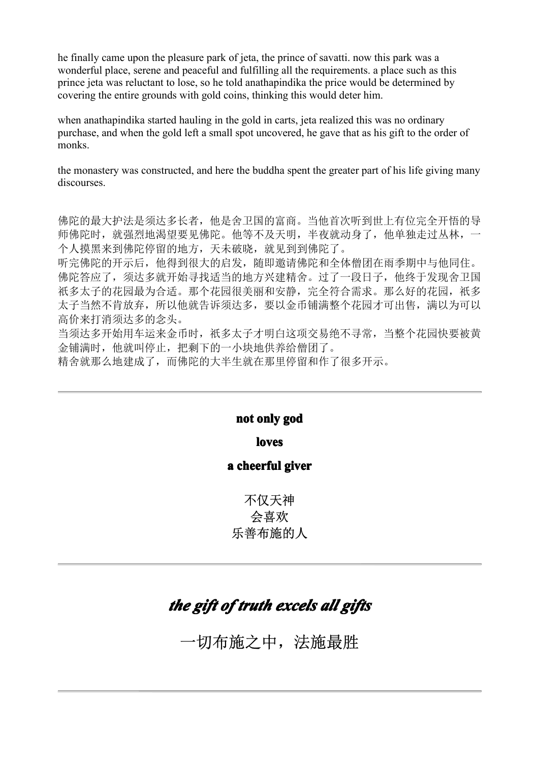he finally came upon the pleasure park of jeta, the prince of savatti. now this park was <sup>a</sup> wonderful place, serene and peaceful and fulfilling all the requirements. <sup>a</sup> place such as this prince jeta was reluctant to lose, so he told anathapindika the price would be determined by covering the entire grounds with gold coins, thinking this would deter him.

when anathapindika started hauling in the gold in carts, jeta realized this was no ordinary purchase, and when the gold left a small spot uncovered, he gave that as his gift to the order of monks.

the monastery was constructed, and here the buddha spen<sup>t</sup> the greater par<sup>t</sup> of his life giving many discourses.

佛陀的最大护法是须达多长者,他是舍卫国的富商。当他首次听到世上有位完全开悟的导 师佛陀时, 就强烈地渴望要见佛陀。他等不及天明, 半夜就动身了, 他单独走过从林, 一 个人摸黑来到佛陀停留的地方,天未破晓,就见到到佛陀了。

听完佛陀的开示后,他得到很大的启发,随即邀请佛陀和全体僧团在雨季期中与他同住。 佛陀答应了,须达多就开始寻找适当的地方兴建精舍。过了一段日子,他终于发现舍卫国 祇多太子的花园最为合适。那个花园很美丽和安静,完全符合需求。那么好的花园,祇多 太子当然不肯放弃,所以他就告诉须达多,要以金币铺满整个花园才可出售,满以为可以 高价来打消须达多的念头。

当须达多开始用车运来金币时,祇多太子才明白这项交易绝不寻常,当整个花园快要被黄 金铺满时,他就叫停止,把剩下的一小块地供养给僧团了。

精舍就那么地建成了,而佛陀的大半生就在那里停留和作了很多开示。

#### **not only god**

**loves**

### **a** cheerful giver

不仅天神 会喜欢 乐善布施的人

# *the gift of truth excels all gifts*

一切布施之中,法施最胜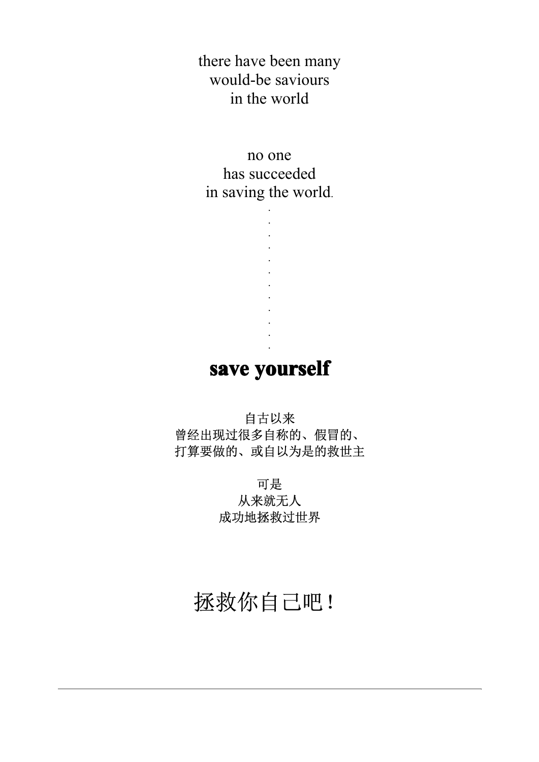there have been many would-be saviours in the world

no one has succeeded in saving the world.

> . . . . . . . . . . . .

# **save yourself yourself yourself**

自古以来 曾经出现过很多自称的、假冒的、 打算要做的、或自以为是的救世主

> 可是 从来就无人 成功地拯救过世界

# 拯救你自己吧!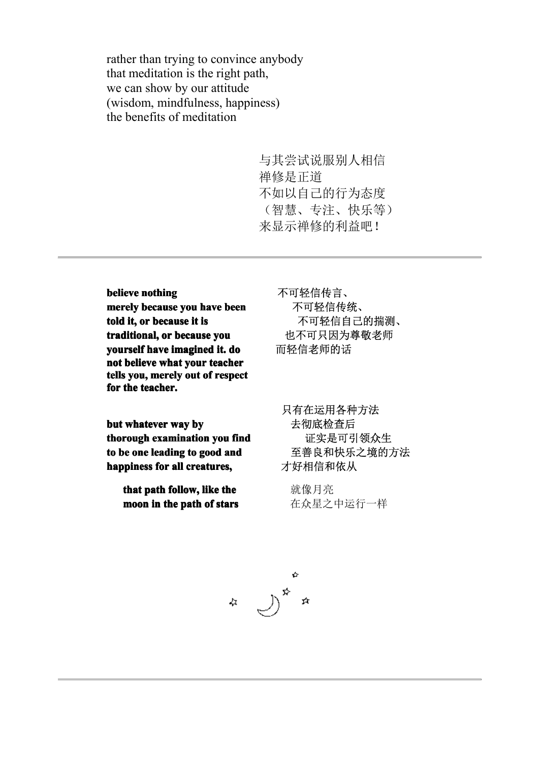rather than trying to convince anybody that meditation is the right path, we can show by our attitude (wisdom, mindfulness, happiness) the benefits of meditation

> 与其尝试说服别人相信 禅修是正道 不如以自己的行为态度 (智慧、专注、快乐等) 来显示禅修的利益吧!

**believe believe nothing nothing nothing nothing**不可轻信传言、 **merely because becausebecause becauseyou have been** 不可轻信传统、 **told it, or because becauseit is** 不可轻信自己的揣测、 **traditional, traditional, traditional,or because because becausebecauseyou** 也不可只因为尊敬老师 **yourself yourselfhave imagined imaginedimaginedit. do** 而轻信老师的话 **not** believe what your teacher **tells you, merely out of respect for the teacher.** 

**but whatever way by by** 去彻底检查后 **thorough examination examination you find** 证实是可引领众生 **to be one leading leadingto good and** 至善良和快乐之境的方法 **happiness happinessfor all creatures, creatures,** 才好相信和依从

**that path follow, like the the** 就像月亮 **moon in the path of stars** 在众星之中运行一样

只有在运用各种方法